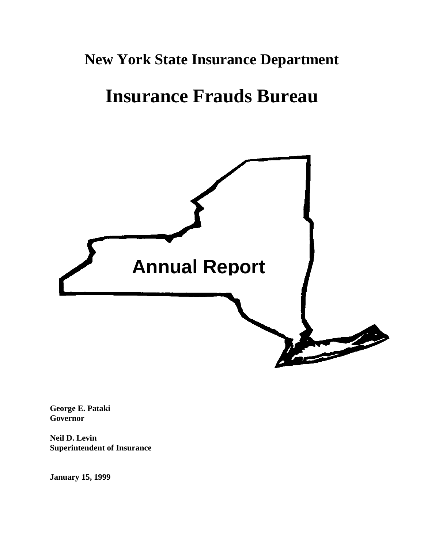# **New York State Insurance Department**

# **Insurance Frauds Bureau**



**George E. Pataki Governor** 

**Neil D. Levin Superintendent of Insurance** 

**January 15, 1999**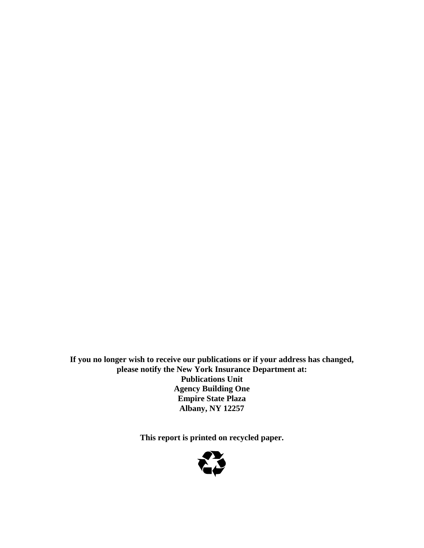**If you no longer wish to receive our publications or if your address has changed, please notify the New York Insurance Department at: Publications Unit Agency Building One Empire State Plaza Albany, NY 12257** 

**This report is printed on recycled paper.** 

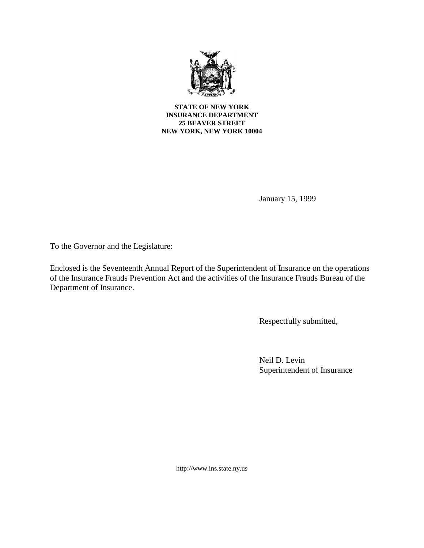

January 15, 1999

To the Governor and the Legislature:

Enclosed is the Seventeenth Annual Report of the Superintendent of Insurance on the operations of the Insurance Frauds Prevention Act and the activities of the Insurance Frauds Bureau of the Department of Insurance.

Respectfully submitted,

Neil D. Levin Superintendent of Insurance

http://www.ins.state.ny.us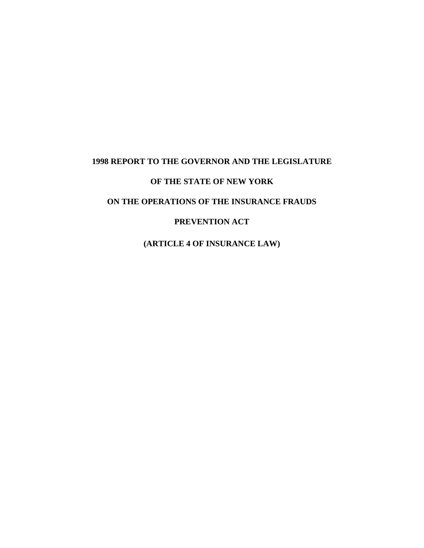# **1998 REPORT TO THE GOVERNOR AND THE LEGISLATURE**

## **OF THE STATE OF NEW YORK**

# **ON THE OPERATIONS OF THE INSURANCE FRAUDS**

### **PREVENTION ACT**

**(ARTICLE 4 OF INSURANCE LAW)**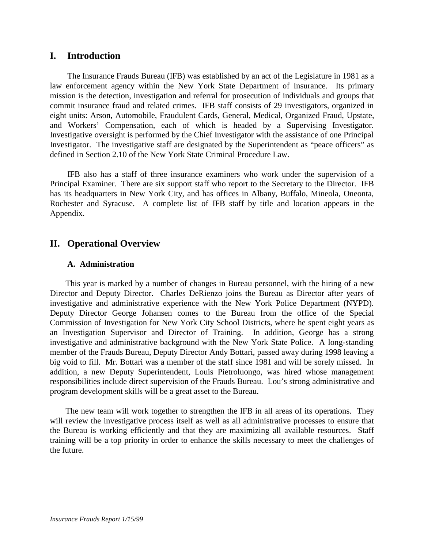# **I. Introduction**

 law enforcement agency within the New York State Department of Insurance. Its primary The Insurance Frauds Bureau (IFB) was established by an act of the Legislature in 1981 as a mission is the detection, investigation and referral for prosecution of individuals and groups that commit insurance fraud and related crimes. IFB staff consists of 29 investigators, organized in eight units: Arson, Automobile, Fraudulent Cards, General, Medical, Organized Fraud, Upstate, and Workers' Compensation, each of which is headed by a Supervising Investigator. Investigative oversight is performed by the Chief Investigator with the assistance of one Principal Investigator. The investigative staff are designated by the Superintendent as "peace officers" as defined in Section 2.10 of the New York State Criminal Procedure Law.

IFB also has a staff of three insurance examiners who work under the supervision of a Principal Examiner. There are six support staff who report to the Secretary to the Director. IFB has its headquarters in New York City, and has offices in Albany, Buffalo, Mineola, Oneonta, Rochester and Syracuse. A complete list of IFB staff by title and location appears in the Appendix.

# **II. Operational Overview**

### **A. Administration**

 investigative and administrative experience with the New York Police Department (NYPD). member of the Frauds Bureau, Deputy Director Andy Bottari, passed away during 1998 leaving a big void to fill. Mr. Bottari was a member of the staff since 1981 and will be sorely missed. In This year is marked by a number of changes in Bureau personnel, with the hiring of a new Director and Deputy Director. Charles DeRienzo joins the Bureau as Director after years of Deputy Director George Johansen comes to the Bureau from the office of the Special Commission of Investigation for New York City School Districts, where he spent eight years as an Investigation Supervisor and Director of Training. In addition, George has a strong investigative and administrative background with the New York State Police. A long-standing addition, a new Deputy Superintendent, Louis Pietroluongo, was hired whose management responsibilities include direct supervision of the Frauds Bureau. Lou's strong administrative and program development skills will be a great asset to the Bureau.

 The new team will work together to strengthen the IFB in all areas of its operations. They the Bureau is working efficiently and that they are maximizing all available resources. Staff will review the investigative process itself as well as all administrative processes to ensure that training will be a top priority in order to enhance the skills necessary to meet the challenges of the future.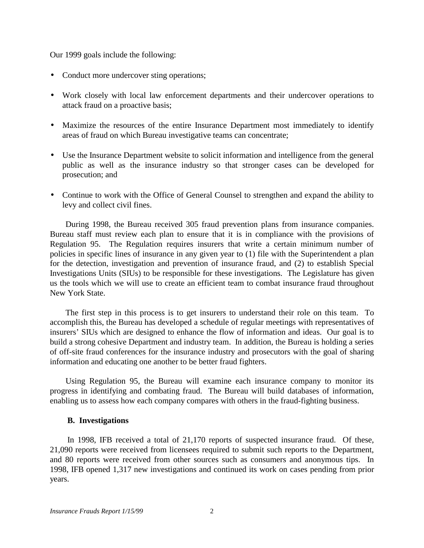Our 1999 goals include the following:

- Conduct more undercover sting operations;
- Work closely with local law enforcement departments and their undercover operations to attack fraud on a proactive basis;
- • Maximize the resources of the entire Insurance Department most immediately to identify areas of fraud on which Bureau investigative teams can concentrate;
- Use the Insurance Department website to solicit information and intelligence from the general public as well as the insurance industry so that stronger cases can be developed for prosecution; and
- Continue to work with the Office of General Counsel to strengthen and expand the ability to levy and collect civil fines.

During 1998, the Bureau received 305 fraud prevention plans from insurance companies. Bureau staff must review each plan to ensure that it is in compliance with the provisions of Regulation 95. The Regulation requires insurers that write a certain minimum number of policies in specific lines of insurance in any given year to (1) file with the Superintendent a plan for the detection, investigation and prevention of insurance fraud, and (2) to establish Special Investigations Units (SIUs) to be responsible for these investigations. The Legislature has given us the tools which we will use to create an efficient team to combat insurance fraud throughout New York State.

The first step in this process is to get insurers to understand their role on this team. To accomplish this, the Bureau has developed a schedule of regular meetings with representatives of insurers' SIUs which are designed to enhance the flow of information and ideas. Our goal is to build a strong cohesive Department and industry team. In addition, the Bureau is holding a series of off-site fraud conferences for the insurance industry and prosecutors with the goal of sharing information and educating one another to be better fraud fighters.

Using Regulation 95, the Bureau will examine each insurance company to monitor its progress in identifying and combating fraud. The Bureau will build databases of information, enabling us to assess how each company compares with others in the fraud-fighting business.

### **B. Investigations**

In 1998, IFB received a total of 21,170 reports of suspected insurance fraud. Of these, 21,090 reports were received from licensees required to submit such reports to the Department, and 80 reports were received from other sources such as consumers and anonymous tips. In 1998, IFB opened 1,317 new investigations and continued its work on cases pending from prior years.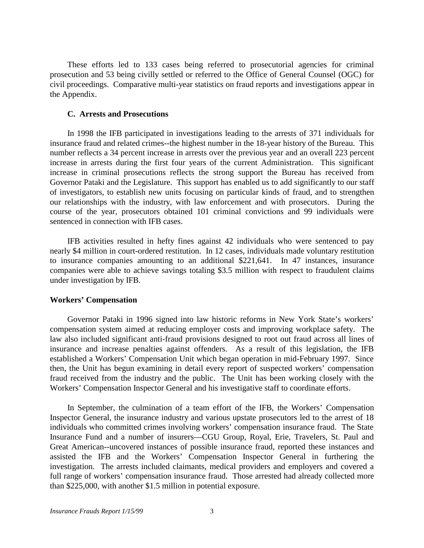These efforts led to 133 cases being referred to prosecutorial agencies for criminal prosecution and 53 being civilly settled or referred to the Office of General Counsel (OGC) for civil proceedings. Comparative multi-year statistics on fraud reports and investigations appear in the Appendix.

### **C. Arrests and Prosecutions**

 our relationships with the industry, with law enforcement and with prosecutors. During the In 1998 the IFB participated in investigations leading to the arrests of 371 individuals for insurance fraud and related crimes--the highest number in the 18-year history of the Bureau. This number reflects a 34 percent increase in arrests over the previous year and an overall 223 percent increase in arrests during the first four years of the current Administration. This significant increase in criminal prosecutions reflects the strong support the Bureau has received from Governor Pataki and the Legislature. This support has enabled us to add significantly to our staff of investigators, to establish new units focusing on particular kinds of fraud, and to strengthen course of the year, prosecutors obtained 101 criminal convictions and 99 individuals were sentenced in connection with IFB cases.

IFB activities resulted in hefty fines against 42 individuals who were sentenced to pay nearly \$4 million in court-ordered restitution. In 12 cases, individuals made voluntary restitution to insurance companies amounting to an additional \$221,641. In 47 instances, insurance companies were able to achieve savings totaling \$3.5 million with respect to fraudulent claims under investigation by IFB.

### **Workers' Compensation**

 established a Workers' Compensation Unit which began operation in mid-February 1997. Since Governor Pataki in 1996 signed into law historic reforms in New York State's workers' compensation system aimed at reducing employer costs and improving workplace safety. The law also included significant anti-fraud provisions designed to root out fraud across all lines of insurance and increase penalties against offenders. As a result of this legislation, the IFB then, the Unit has begun examining in detail every report of suspected workers' compensation fraud received from the industry and the public. The Unit has been working closely with the Workers' Compensation Inspector General and his investigative staff to coordinate efforts.

In September, the culmination of a team effort of the IFB, the Workers' Compensation Inspector General, the insurance industry and various upstate prosecutors led to the arrest of 18 individuals who committed crimes involving workers' compensation insurance fraud. The State Insurance Fund and a number of insurers—CGU Group, Royal, Erie, Travelers, St. Paul and Great American--uncovered instances of possible insurance fraud, reported these instances and assisted the IFB and the Workers' Compensation Inspector General in furthering the investigation. The arrests included claimants, medical providers and employers and covered a full range of workers' compensation insurance fraud. Those arrested had already collected more than \$225,000, with another \$1.5 million in potential exposure.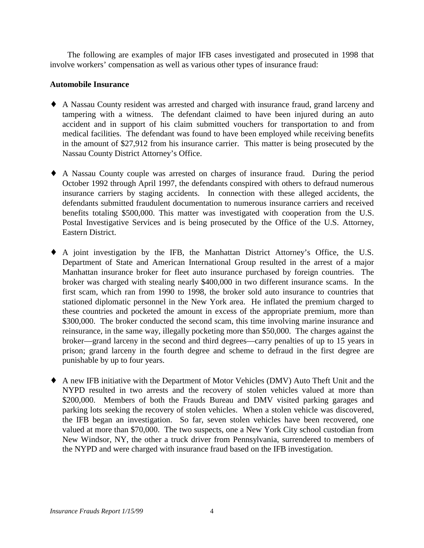The following are examples of major IFB cases investigated and prosecuted in 1998 that involve workers' compensation as well as various other types of insurance fraud:

### **Automobile Insurance**

- ♦ A Nassau County resident was arrested and charged with insurance fraud, grand larceny and tampering with a witness. The defendant claimed to have been injured during an auto accident and in support of his claim submitted vouchers for transportation to and from medical facilities. The defendant was found to have been employed while receiving benefits in the amount of \$27,912 from his insurance carrier. This matter is being prosecuted by the Nassau County District Attorney's Office.
- insurance carriers by staging accidents. In connection with these alleged accidents, the ♦ A Nassau County couple was arrested on charges of insurance fraud. During the period October 1992 through April 1997, the defendants conspired with others to defraud numerous defendants submitted fraudulent documentation to numerous insurance carriers and received benefits totaling \$500,000. This matter was investigated with cooperation from the U.S. Postal Investigative Services and is being prosecuted by the Office of the U.S. Attorney, Eastern District.
- ♦ A joint investigation by the IFB, the Manhattan District Attorney's Office, the U.S. Department of State and American International Group resulted in the arrest of a major Manhattan insurance broker for fleet auto insurance purchased by foreign countries. The broker was charged with stealing nearly \$400,000 in two different insurance scams. In the first scam, which ran from 1990 to 1998, the broker sold auto insurance to countries that stationed diplomatic personnel in the New York area. He inflated the premium charged to these countries and pocketed the amount in excess of the appropriate premium, more than \$300,000. The broker conducted the second scam, this time involving marine insurance and reinsurance, in the same way, illegally pocketing more than \$50,000. The charges against the broker—grand larceny in the second and third degrees—carry penalties of up to 15 years in prison; grand larceny in the fourth degree and scheme to defraud in the first degree are punishable by up to four years.
- ♦ A new IFB initiative with the Department of Motor Vehicles (DMV) Auto Theft Unit and the NYPD resulted in two arrests and the recovery of stolen vehicles valued at more than \$200,000. Members of both the Frauds Bureau and DMV visited parking garages and parking lots seeking the recovery of stolen vehicles. When a stolen vehicle was discovered, the IFB began an investigation. So far, seven stolen vehicles have been recovered, one valued at more than \$70,000. The two suspects, one a New York City school custodian from New Windsor, NY, the other a truck driver from Pennsylvania, surrendered to members of the NYPD and were charged with insurance fraud based on the IFB investigation.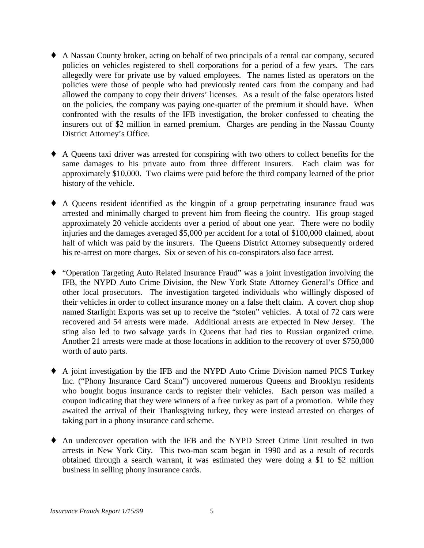- <span id="page-8-0"></span> allowed the company to copy their drivers' licenses. As a result of the false operators listed ♦ A Nassau County broker, acting on behalf of two principals of a rental car company, secured policies on vehicles registered to shell corporations for a period of a few years. The cars allegedly were for private use by valued employees. The names listed as operators on the policies were those of people who had previously rented cars from the company and had on the policies, the company was paying one-quarter of the premium it should have. When confronted with the results of the IFB investigation, the broker confessed to cheating the insurers out of \$2 million in earned premium. Charges are pending in the Nassau County District Attorney's Office.
- ♦ A Queens taxi driver was arrested for conspiring with two others to collect benefits for the same damages to his private auto from three different insurers. Each claim was for approximately \$10,000. Two claims were paid before the third company learned of the prior history of the vehicle.
- ♦ A Queens resident identified as the kingpin of a group perpetrating insurance fraud was arrested and minimally charged to prevent him from fleeing the country. His group staged approximately 20 vehicle accidents over a period of about one year. There were no bodily injuries and the damages averaged \$5,000 per accident for a total of \$100,000 claimed, about half of which was paid by the insurers. The Queens District Attorney subsequently ordered his re-arrest on more charges. Six or seven of his co-conspirators also face arrest.
- other local prosecutors. The investigation targeted individuals who willingly disposed of ♦ "Operation Targeting Auto Related Insurance Fraud" was a joint investigation involving the IFB, the NYPD Auto Crime Division, the New York State Attorney General's Office and their vehicles in order to collect insurance money on a false theft claim. A covert chop shop named Starlight Exports was set up to receive the "stolen" vehicles. A total of 72 cars were recovered and 54 arrests were made. Additional arrests are expected in New Jersey. The sting also led to two salvage yards in Queens that had ties to Russian organized crime. Another 21 arrests were made at those locations in addition to the recovery of over \$750,000 worth of auto parts.
- ♦ A joint investigation by the IFB and the NYPD Auto Crime Division named PICS Turkey Inc. ("Phony Insurance Card Scam") uncovered numerous Queens and Brooklyn residents who bought bogus insurance cards to register their vehicles. Each person was mailed a coupon indicating that they were winners of a free turkey as part of a promotion. While they awaited the arrival of their Thanksgiving turkey, they were instead arrested on charges of taking part in a phony insurance card scheme.
- ♦ An undercover operation with the IFB and the NYPD Street Crime Unit resulted in two arrests in New York City. This two-man scam began in 1990 and as a result of records obtained through a search warrant, it was estimated they were doing a \$1 to \$2 million business in selling phony insurance cards.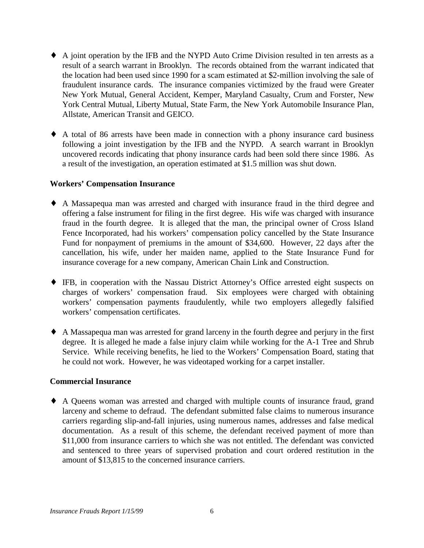- ♦ A joint operation by the IFB and the NYPD Auto Crime Division resulted in ten arrests as a result of a search warrant in Brooklyn. The records obtained from the warrant indicated that the location had been used since 1990 for a scam estimated at \$2-million involving the sale of fraudulent insurance cards. The insurance companies victimized by the fraud were Greater New York Mutual, General Accident, Kemper, Maryland Casualty, Crum and Forster, New York Central Mutual, Liberty Mutual, State Farm, the New York Automobile Insurance Plan, Allstate, American Transit and GEICO.
- uncovered records indicating that phony insurance cards had been sold there since 1986. As ♦ A total of 86 arrests have been made in connection with a phony insurance card business following a joint investigation by the IFB and the NYPD. A search warrant in Brooklyn a result of the investigation, an operation estimated at \$1.5 million was shut down.

### **Workers' Compensation Insurance**

- offering a false instrument for filing in the first degree. His wife was charged with insurance ♦ A Massapequa man was arrested and charged with insurance fraud in the third degree and fraud in the fourth degree. It is alleged that the man, the principal owner of Cross Island Fence Incorporated, had his workers' compensation policy cancelled by the State Insurance Fund for nonpayment of premiums in the amount of \$34,600. However, 22 days after the cancellation, his wife, under her maiden name, applied to the State Insurance Fund for insurance coverage for a new company, American Chain Link and Construction.
- ♦ IFB, in cooperation with the Nassau District Attorney's Office arrested eight suspects on charges of workers' compensation fraud. Six employees were charged with obtaining workers' compensation payments fraudulently, while two employers allegedly falsified workers' compensation certificates.
- degree. It is alleged he made a false injury claim while working for the A-1 Tree and Shrub Service. While receiving benefits, he lied to the Workers' Compensation Board, stating that ♦ A Massapequa man was arrested for grand larceny in the fourth degree and perjury in the first he could not work. However, he was videotaped working for a carpet installer.

### **Commercial Insurance**

♦ A Queens woman was arrested and charged with multiple counts of insurance fraud, grand larceny and scheme to defraud. The defendant submitted false claims to numerous insurance carriers regarding slip-and-fall injuries, using numerous names, addresses and false medical documentation. As a result of this scheme, the defendant received payment of more than \$11,000 from insurance carriers to which she was not entitled. The defendant was convicted and sentenced to three years of supervised probation and court ordered restitution in the amount of \$13,815 to the concerned insurance carriers.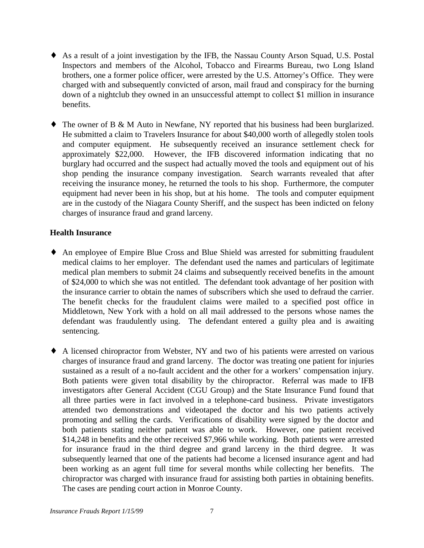- ♦ As a result of a joint investigation by the IFB, the Nassau County Arson Squad, U.S. Postal Inspectors and members of the Alcohol, Tobacco and Firearms Bureau, two Long Island brothers, one a former police officer, were arrested by the U.S. Attorney's Office. They were charged with and subsequently convicted of arson, mail fraud and conspiracy for the burning down of a nightclub they owned in an unsuccessful attempt to collect \$1 million in insurance benefits.
- ♦ The owner of B & M Auto in Newfane, NY reported that his business had been burglarized. He submitted a claim to Travelers Insurance for about \$40,000 worth of allegedly stolen tools and computer equipment. He subsequently received an insurance settlement check for approximately \$22,000. However, the IFB discovered information indicating that no burglary had occurred and the suspect had actually moved the tools and equipment out of his shop pending the insurance company investigation. Search warrants revealed that after receiving the insurance money, he returned the tools to his shop. Furthermore, the computer equipment had never been in his shop, but at his home. The tools and computer equipment are in the custody of the Niagara County Sheriff, and the suspect has been indicted on felony charges of insurance fraud and grand larceny.

### **Health Insurance**

- ♦ An employee of Empire Blue Cross and Blue Shield was arrested for submitting fraudulent medical claims to her employer. The defendant used the names and particulars of legitimate medical plan members to submit 24 claims and subsequently received benefits in the amount of \$24,000 to which she was not entitled. The defendant took advantage of her position with the insurance carrier to obtain the names of subscribers which she used to defraud the carrier. The benefit checks for the fraudulent claims were mailed to a specified post office in Middletown, New York with a hold on all mail addressed to the persons whose names the defendant was fraudulently using. The defendant entered a guilty plea and is awaiting sentencing.
- charges of insurance fraud and grand larceny. The doctor was treating one patient for injuries promoting and selling the cards. Verifications of disability were signed by the doctor and \$14,248 in benefits and the other received \$7,966 while working. Both patients were arrested for insurance fraud in the third degree and grand larceny in the third degree. It was been working as an agent full time for several months while collecting her benefits. The ♦ A licensed chiropractor from Webster, NY and two of his patients were arrested on various sustained as a result of a no-fault accident and the other for a workers' compensation injury. Both patients were given total disability by the chiropractor. Referral was made to IFB investigators after General Accident (CGU Group) and the State Insurance Fund found that all three parties were in fact involved in a telephone-card business. Private investigators attended two demonstrations and videotaped the doctor and his two patients actively both patients stating neither patient was able to work. However, one patient received subsequently learned that one of the patients had become a licensed insurance agent and had chiropractor was charged with insurance fraud for assisting both parties in obtaining benefits. The cases are pending court action in Monroe County.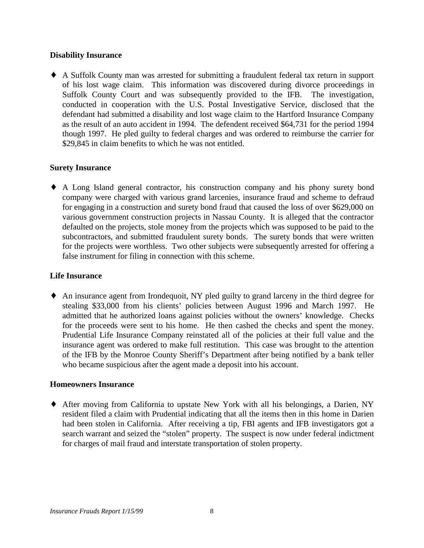### **Disability Insurance**

 of his lost wage claim. This information was discovered during divorce proceedings in defendant had submitted a disability and lost wage claim to the Hartford Insurance Company ♦ A Suffolk County man was arrested for submitting a fraudulent federal tax return in support Suffolk County Court and was subsequently provided to the IFB. The investigation, conducted in cooperation with the U.S. Postal Investigative Service, disclosed that the as the result of an auto accident in 1994. The defendent received \$64,731 for the period 1994 though 1997. He pled guilty to federal charges and was ordered to reimburse the carrier for \$29,845 in claim benefits to which he was not entitled.

### **Surety Insurance**

♦ A Long Island general contractor, his construction company and his phony surety bond company were charged with various grand larcenies, insurance fraud and scheme to defraud for engaging in a construction and surety bond fraud that caused the loss of over \$629,000 on various government construction projects in Nassau County. It is alleged that the contractor defaulted on the projects, stole money from the projects which was supposed to be paid to the subcontractors, and submitted fraudulent surety bonds. The surety bonds that were written for the projects were worthless. Two other subjects were subsequently arrested for offering a false instrument for filing in connection with this scheme.

### **Life Insurance**

 for the proceeds were sent to his home. He then cashed the checks and spent the money. ♦ An insurance agent from Irondequoit, NY pled guilty to grand larceny in the third degree for stealing \$33,000 from his clients' policies between August 1996 and March 1997. He admitted that he authorized loans against policies without the owners' knowledge. Checks Prudential Life Insurance Company reinstated all of the policies at their full value and the insurance agent was ordered to make full restitution. This case was brought to the attention of the IFB by the Monroe County Sheriff's Department after being notified by a bank teller who became suspicious after the agent made a deposit into his account.

### **Homeowners Insurance**

♦ After moving from California to upstate New York with all his belongings, a Darien, NY resident filed a claim with Prudential indicating that all the items then in this home in Darien had been stolen in California. After receiving a tip, FBI agents and IFB investigators got a search warrant and seized the "stolen" property. The suspect is now under federal indictment for charges of mail fraud and interstate transportation of stolen property.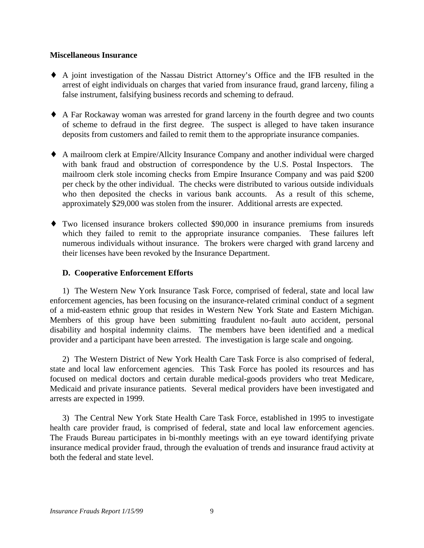### **Miscellaneous Insurance**

- ♦ A joint investigation of the Nassau District Attorney's Office and the IFB resulted in the arrest of eight individuals on charges that varied from insurance fraud, grand larceny, filing a false instrument, falsifying business records and scheming to defraud.
- ♦ A Far Rockaway woman was arrested for grand larceny in the fourth degree and two counts of scheme to defraud in the first degree. The suspect is alleged to have taken insurance deposits from customers and failed to remit them to the appropriate insurance companies.
- ♦ A mailroom clerk at Empire/Allcity Insurance Company and another individual were charged with bank fraud and obstruction of correspondence by the U.S. Postal Inspectors. The mailroom clerk stole incoming checks from Empire Insurance Company and was paid \$200 per check by the other individual. The checks were distributed to various outside individuals who then deposited the checks in various bank accounts. As a result of this scheme, approximately \$29,000 was stolen from the insurer. Additional arrests are expected.
- ♦ Two licensed insurance brokers collected \$90,000 in insurance premiums from insureds which they failed to remit to the appropriate insurance companies. These failures left numerous individuals without insurance. The brokers were charged with grand larceny and their licenses have been revoked by the Insurance Department.

## **D. Cooperative Enforcement Efforts**

1) The Western New York Insurance Task Force, comprised of federal, state and local law enforcement agencies, has been focusing on the insurance-related criminal conduct of a segment of a mid-eastern ethnic group that resides in Western New York State and Eastern Michigan. Members of this group have been submitting fraudulent no-fault auto accident, personal disability and hospital indemnity claims. The members have been identified and a medical provider and a participant have been arrested. The investigation is large scale and ongoing.

2) The Western District of New York Health Care Task Force is also comprised of federal, state and local law enforcement agencies. This Task Force has pooled its resources and has focused on medical doctors and certain durable medical-goods providers who treat Medicare, Medicaid and private insurance patients. Several medical providers have been investigated and arrests are expected in 1999.

 The Frauds Bureau participates in bi-monthly meetings with an eye toward identifying private 3) The Central New York State Health Care Task Force, established in 1995 to investigate health care provider fraud, is comprised of federal, state and local law enforcement agencies. insurance medical provider fraud, through the evaluation of trends and insurance fraud activity at both the federal and state level.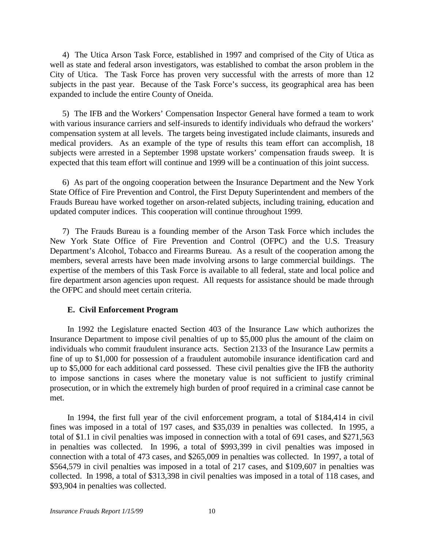<span id="page-13-0"></span>4) The Utica Arson Task Force, established in 1997 and comprised of the City of Utica as well as state and federal arson investigators, was established to combat the arson problem in the City of Utica. The Task Force has proven very successful with the arrests of more than 12 subjects in the past year. Because of the Task Force's success, its geographical area has been expanded to include the entire County of Oneida.

 subjects were arrested in a September 1998 upstate workers' compensation frauds sweep. It is 5) The IFB and the Workers' Compensation Inspector General have formed a team to work with various insurance carriers and self-insureds to identify individuals who defraud the workers' compensation system at all levels. The targets being investigated include claimants, insureds and medical providers. As an example of the type of results this team effort can accomplish, 18 expected that this team effort will continue and 1999 will be a continuation of this joint success.

6) As part of the ongoing cooperation between the Insurance Department and the New York State Office of Fire Prevention and Control, the First Deputy Superintendent and members of the Frauds Bureau have worked together on arson-related subjects, including training, education and updated computer indices. This cooperation will continue throughout 1999.

7) The Frauds Bureau is a founding member of the Arson Task Force which includes the New York State Office of Fire Prevention and Control (OFPC) and the U.S. Treasury Department's Alcohol, Tobacco and Firearms Bureau. As a result of the cooperation among the members, several arrests have been made involving arsons to large commercial buildings. The expertise of the members of this Task Force is available to all federal, state and local police and fire department arson agencies upon request. All requests for assistance should be made through the OFPC and should meet certain criteria.

### **E. Civil Enforcement Program**

In 1992 the Legislature enacted Section 403 of the Insurance Law which authorizes the Insurance Department to impose civil penalties of up to \$5,000 plus the amount of the claim on individuals who commit fraudulent insurance acts. Section 2133 of the Insurance Law permits a fine of up to \$1,000 for possession of a fraudulent automobile insurance identification card and up to \$5,000 for each additional card possessed. These civil penalties give the IFB the authority to impose sanctions in cases where the monetary value is not sufficient to justify criminal prosecution, or in which the extremely high burden of proof required in a criminal case cannot be met.

 fines was imposed in a total of 197 cases, and \$35,039 in penalties was collected. In 1995, a In 1994, the first full year of the civil enforcement program, a total of \$184,414 in civil total of \$1.1 in civil penalties was imposed in connection with a total of 691 cases, and \$271,563 in penalties was collected. In 1996, a total of \$993,399 in civil penalties was imposed in connection with a total of 473 cases, and \$265,009 in penalties was collected. In 1997, a total of \$564,579 in civil penalties was imposed in a total of 217 cases, and \$109,607 in penalties was collected. In 1998, a total of \$313,398 in civil penalties was imposed in a total of 118 cases, and \$93,904 in penalties was collected.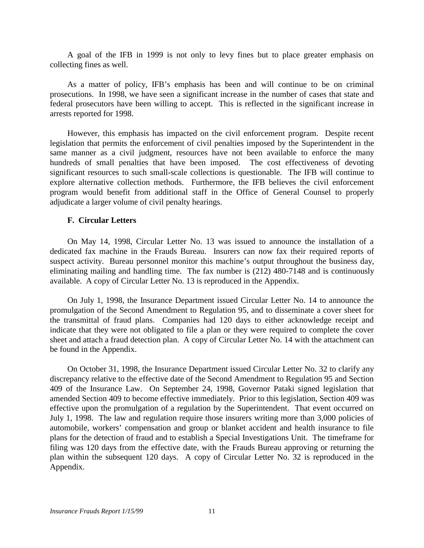A goal of the IFB in 1999 is not only to levy fines but to place greater emphasis on collecting fines as well.

As a matter of policy, IFB's emphasis has been and will continue to be on criminal prosecutions. In 1998, we have seen a significant increase in the number of cases that state and federal prosecutors have been willing to accept. This is reflected in the significant increase in arrests reported for 1998.

 legislation that permits the enforcement of civil penalties imposed by the Superintendent in the However, this emphasis has impacted on the civil enforcement program. Despite recent same manner as a civil judgment, resources have not been available to enforce the many hundreds of small penalties that have been imposed. The cost effectiveness of devoting significant resources to such small-scale collections is questionable. The IFB will continue to explore alternative collection methods. Furthermore, the IFB believes the civil enforcement program would benefit from additional staff in the Office of General Counsel to properly adjudicate a larger volume of civil penalty hearings.

### **F. Circular Letters**

On May 14, 1998, Circular Letter No. 13 was issued to announce the installation of a dedicated fax machine in the Frauds Bureau. Insurers can now fax their required reports of suspect activity. Bureau personnel monitor this machine's output throughout the business day, eliminating mailing and handling time. The fax number is (212) 480-7148 and is continuously available. A copy of Circular Letter No. 13 is reproduced in the Appendix.

 indicate that they were not obligated to file a plan or they were required to complete the cover sheet and attach a fraud detection plan. A copy of Circular Letter No. 14 with the attachment can On July 1, 1998, the Insurance Department issued Circular Letter No. 14 to announce the promulgation of the Second Amendment to Regulation 95, and to disseminate a cover sheet for the transmittal of fraud plans. Companies had 120 days to either acknowledge receipt and be found in the Appendix.

 plans for the detection of fraud and to establish a Special Investigations Unit. The timeframe for On October 31, 1998, the Insurance Department issued Circular Letter No. 32 to clarify any discrepancy relative to the effective date of the Second Amendment to Regulation 95 and Section 409 of the Insurance Law. On September 24, 1998, Governor Pataki signed legislation that amended Section 409 to become effective immediately. Prior to this legislation, Section 409 was effective upon the promulgation of a regulation by the Superintendent. That event occurred on July 1, 1998. The law and regulation require those insurers writing more than 3,000 policies of automobile, workers' compensation and group or blanket accident and health insurance to file filing was 120 days from the effective date, with the Frauds Bureau approving or returning the plan within the subsequent 120 days. A copy of Circular Letter No. 32 is reproduced in the Appendix.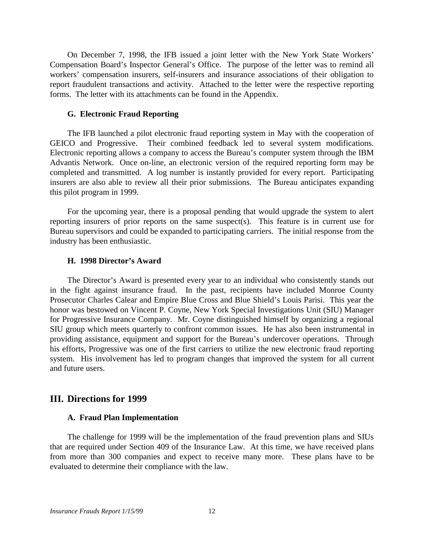On December 7, 1998, the IFB issued a joint letter with the New York State Workers' Compensation Board's Inspector General's Office. The purpose of the letter was to remind all workers' compensation insurers, self-insurers and insurance associations of their obligation to report fraudulent transactions and activity. Attached to the letter were the respective reporting forms. The letter with its attachments can be found in the Appendix.

### **G. Electronic Fraud Reporting**

 Advantis Network. Once on-line, an electronic version of the required reporting form may be The IFB launched a pilot electronic fraud reporting system in May with the cooperation of GEICO and Progressive. Their combined feedback led to several system modifications. Electronic reporting allows a company to access the Bureau's computer system through the IBM completed and transmitted. A log number is instantly provided for every report. Participating insurers are also able to review all their prior submissions. The Bureau anticipates expanding this pilot program in 1999.

For the upcoming year, there is a proposal pending that would upgrade the system to alert reporting insurers of prior reports on the same suspect(s). This feature is in current use for Bureau supervisors and could be expanded to participating carriers. The initial response from the industry has been enthusiastic.

### **H. 1998 Director's Award**

 his efforts, Progressive was one of the first carriers to utilize the new electronic fraud reporting The Director's Award is presented every year to an individual who consistently stands out in the fight against insurance fraud. In the past, recipients have included Monroe County Prosecutor Charles Calear and Empire Blue Cross and Blue Shield's Louis Parisi. This year the honor was bestowed on Vincent P. Coyne, New York Special Investigations Unit (SIU) Manager for Progressive Insurance Company. Mr. Coyne distinguished himself by organizing a regional SIU group which meets quarterly to confront common issues. He has also been instrumental in providing assistance, equipment and support for the Bureau's undercover operations. Through system. His involvement has led to program changes that improved the system for all current and future users.

### **III. Directions for 1999**

### **A. Fraud Plan Implementation**

The challenge for 1999 will be the implementation of the fraud prevention plans and SIUs that are required under Section 409 of the Insurance Law. At this time, we have received plans from more than 300 companies and expect to receive many more. These plans have to be evaluated to determine their compliance with the law.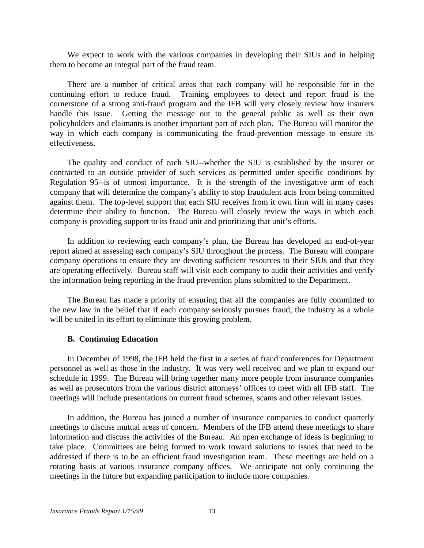We expect to work with the various companies in developing their SIUs and in helping them to become an integral part of the fraud team.

 way in which each company is communicating the fraud-prevention message to ensure its There are a number of critical areas that each company will be responsible for in the continuing effort to reduce fraud. Training employees to detect and report fraud is the cornerstone of a strong anti-fraud program and the IFB will very closely review how insurers handle this issue. Getting the message out to the general public as well as their own policyholders and claimants is another important part of each plan. The Bureau will monitor the effectiveness.

The quality and conduct of each SIU--whether the SIU is established by the insurer or contracted to an outside provider of such services as permitted under specific conditions by Regulation 95--is of utmost importance. It is the strength of the investigative arm of each company that will determine the company's ability to stop fraudulent acts from being committed against them. The top-level support that each SIU receives from it own firm will in many cases determine their ability to function. The Bureau will closely review the ways in which each company is providing support to its fraud unit and prioritizing that unit's efforts.

 company operations to ensure they are devoting sufficient resources to their SIUs and that they are operating effectively. Bureau staff will visit each company to audit their activities and verify In addition to reviewing each company's plan, the Bureau has developed an end-of-year report aimed at assessing each company's SIU throughout the process. The Bureau will compare the information being reporting in the fraud prevention plans submitted to the Department.

 The Bureau has made a priority of ensuring that all the companies are fully committed to the new law in the belief that if each company seriously pursues fraud, the industry as a whole will be united in its effort to eliminate this growing problem.

### **B. Continuing Education**

In December of 1998, the IFB held the first in a series of fraud conferences for Department personnel as well as those in the industry. It was very well received and we plan to expand our schedule in 1999. The Bureau will bring together many more people from insurance companies as well as prosecutors from the various district attorneys' offices to meet with all IFB staff. The meetings will include presentations on current fraud schemes, scams and other relevant issues.

 meetings to discuss mutual areas of concern. Members of the IFB attend these meetings to share information and discuss the activities of the Bureau. An open exchange of ideas is beginning to addressed if there is to be an efficient fraud investigation team. These meetings are held on a In addition, the Bureau has joined a number of insurance companies to conduct quarterly take place. Committees are being formed to work toward solutions to issues that need to be rotating basis at various insurance company offices. We anticipate not only continuing the meetings in the future but expanding participation to include more companies.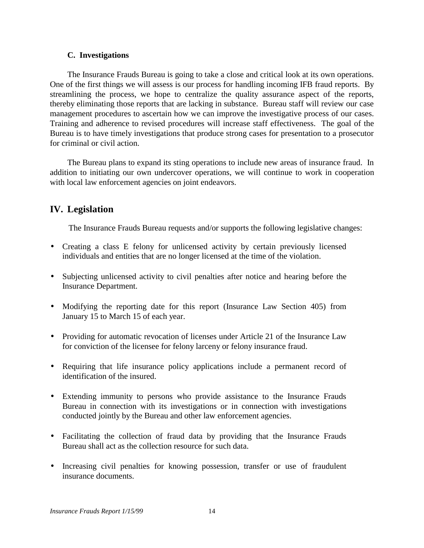### **C. Investigations**

 thereby eliminating those reports that are lacking in substance. Bureau staff will review our case The Insurance Frauds Bureau is going to take a close and critical look at its own operations. One of the first things we will assess is our process for handling incoming IFB fraud reports. By streamlining the process, we hope to centralize the quality assurance aspect of the reports, management procedures to ascertain how we can improve the investigative process of our cases. Training and adherence to revised procedures will increase staff effectiveness. The goal of the Bureau is to have timely investigations that produce strong cases for presentation to a prosecutor for criminal or civil action.

The Bureau plans to expand its sting operations to include new areas of insurance fraud. In addition to initiating our own undercover operations, we will continue to work in cooperation with local law enforcement agencies on joint endeavors.

# **IV. Legislation**

The Insurance Frauds Bureau requests and/or supports the following legislative changes:

- Creating a class E felony for unlicensed activity by certain previously licensed individuals and entities that are no longer licensed at the time of the violation.
- Subjecting unlicensed activity to civil penalties after notice and hearing before the Insurance Department.
- Modifying the reporting date for this report (Insurance Law Section 405) from January 15 to March 15 of each year.
- Providing for automatic revocation of licenses under Article 21 of the Insurance Law for conviction of the licensee for felony larceny or felony insurance fraud.
- Requiring that life insurance policy applications include a permanent record of identification of the insured.
- • Extending immunity to persons who provide assistance to the Insurance Frauds Bureau in connection with its investigations or in connection with investigations conducted jointly by the Bureau and other law enforcement agencies.
- • Facilitating the collection of fraud data by providing that the Insurance Frauds Bureau shall act as the collection resource for such data.
- Increasing civil penalties for knowing possession, transfer or use of fraudulent insurance documents.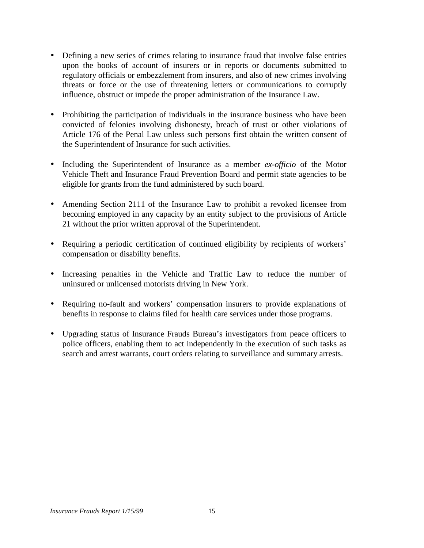- <span id="page-18-0"></span>• Defining a new series of crimes relating to insurance fraud that involve false entries upon the books of account of insurers or in reports or documents submitted to regulatory officials or embezzlement from insurers, and also of new crimes involving threats or force or the use of threatening letters or communications to corruptly influence, obstruct or impede the proper administration of the Insurance Law.
- Prohibiting the participation of individuals in the insurance business who have been convicted of felonies involving dishonesty, breach of trust or other violations of Article 176 of the Penal Law unless such persons first obtain the written consent of the Superintendent of Insurance for such activities.
- Including the Superintendent of Insurance as a member *ex-officio* of the Motor Vehicle Theft and Insurance Fraud Prevention Board and permit state agencies to be eligible for grants from the fund administered by such board.
- becoming employed in any capacity by an entity subject to the provisions of Article • Amending Section 2111 of the Insurance Law to prohibit a revoked licensee from 21 without the prior written approval of the Superintendent.
- Requiring a periodic certification of continued eligibility by recipients of workers' compensation or disability benefits.
- Increasing penalties in the Vehicle and Traffic Law to reduce the number of uninsured or unlicensed motorists driving in New York.
- Requiring no-fault and workers' compensation insurers to provide explanations of benefits in response to claims filed for health care services under those programs.
- Upgrading status of Insurance Frauds Bureau's investigators from peace officers to police officers, enabling them to act independently in the execution of such tasks as search and arrest warrants, court orders relating to surveillance and summary arrests.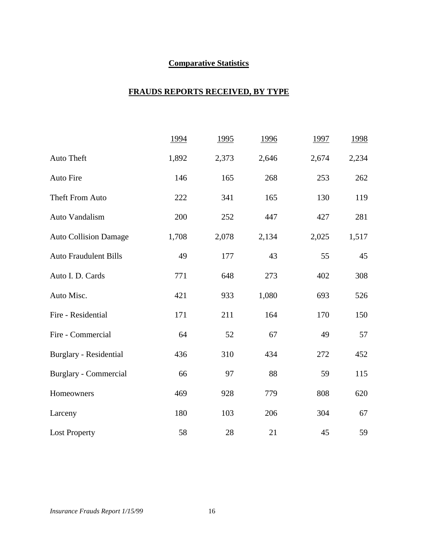# **Comparative Statistics**

### **FRAUDS REPORTS RECEIVED, BY TYPE**

|                              | 1994  | 1995  | 1996  | 1997  | 1998  |
|------------------------------|-------|-------|-------|-------|-------|
| Auto Theft                   | 1,892 | 2,373 | 2,646 | 2,674 | 2,234 |
| Auto Fire                    | 146   | 165   | 268   | 253   | 262   |
| Theft From Auto              | 222   | 341   | 165   | 130   | 119   |
| Auto Vandalism               | 200   | 252   | 447   | 427   | 281   |
| <b>Auto Collision Damage</b> | 1,708 | 2,078 | 2,134 | 2,025 | 1,517 |
| <b>Auto Fraudulent Bills</b> | 49    | 177   | 43    | 55    | 45    |
| Auto I. D. Cards             | 771   | 648   | 273   | 402   | 308   |
| Auto Misc.                   | 421   | 933   | 1,080 | 693   | 526   |
| Fire - Residential           | 171   | 211   | 164   | 170   | 150   |
| Fire - Commercial            | 64    | 52    | 67    | 49    | 57    |
| Burglary - Residential       | 436   | 310   | 434   | 272   | 452   |
| Burglary - Commercial        | 66    | 97    | 88    | 59    | 115   |
| Homeowners                   | 469   | 928   | 779   | 808   | 620   |
| Larceny                      | 180   | 103   | 206   | 304   | 67    |
| <b>Lost Property</b>         | 58    | 28    | 21    | 45    | 59    |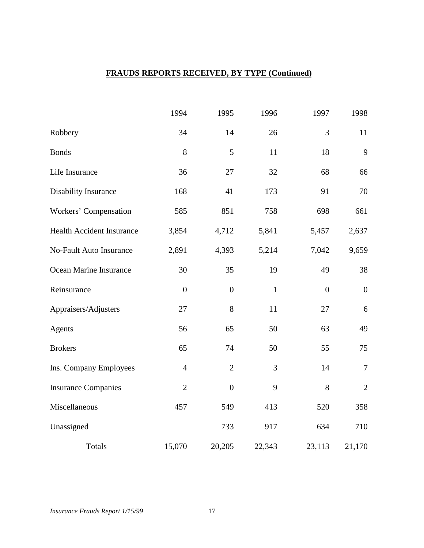# **FRAUDS REPORTS RECEIVED, BY TYPE (Continued)**

|                                  | 1994             | 1995             | 1996         | 1997           | 1998             |
|----------------------------------|------------------|------------------|--------------|----------------|------------------|
| Robbery                          | 34               | 14               | 26           | 3              | 11               |
| <b>Bonds</b>                     | 8                | 5                | 11           | 18             | 9                |
| Life Insurance                   | 36               | 27               | 32           | 68             | 66               |
| <b>Disability Insurance</b>      | 168              | 41               | 173          | 91             | 70               |
| Workers' Compensation            | 585              | 851              | 758          | 698            | 661              |
| <b>Health Accident Insurance</b> | 3,854            | 4,712            | 5,841        | 5,457          | 2,637            |
| No-Fault Auto Insurance          | 2,891            | 4,393            | 5,214        | 7,042          | 9,659            |
| Ocean Marine Insurance           | 30               | 35               | 19           | 49             | 38               |
| Reinsurance                      | $\boldsymbol{0}$ | $\boldsymbol{0}$ | $\mathbf{1}$ | $\overline{0}$ | $\boldsymbol{0}$ |
| Appraisers/Adjusters             | 27               | $8\,$            | 11           | 27             | 6                |
| Agents                           | 56               | 65               | 50           | 63             | 49               |
| <b>Brokers</b>                   | 65               | 74               | 50           | 55             | 75               |
| Ins. Company Employees           | $\overline{4}$   | $\overline{2}$   | 3            | 14             | $\overline{7}$   |
| <b>Insurance Companies</b>       | $\overline{2}$   | $\boldsymbol{0}$ | 9            | 8              | $\mathbf{2}$     |
| Miscellaneous                    | 457              | 549              | 413          | 520            | 358              |
| Unassigned                       |                  | 733              | 917          | 634            | 710              |
| Totals                           | 15,070           | 20,205           | 22,343       | 23,113         | 21,170           |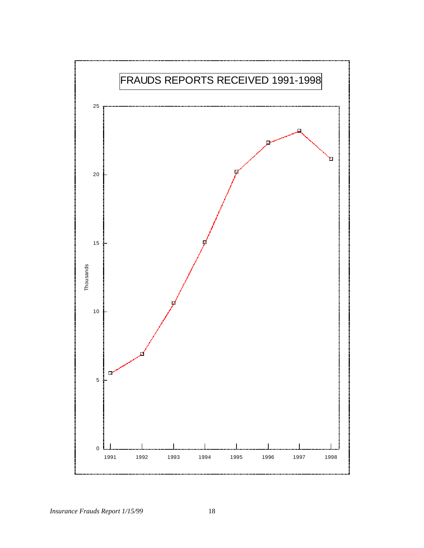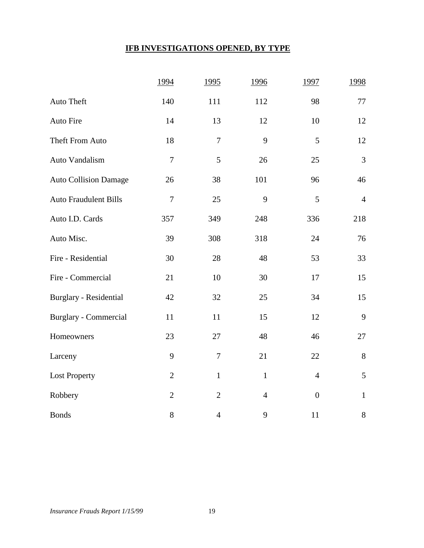# **IFB INVESTIGATIONS OPENED, BY TYPE**

|                              | 1994           | 1995           | 1996           | 1997             | 1998           |
|------------------------------|----------------|----------------|----------------|------------------|----------------|
| Auto Theft                   | 140            | 111            | 112            | 98               | 77             |
| Auto Fire                    | 14             | 13             | 12             | 10               | 12             |
| Theft From Auto              | 18             | $\overline{7}$ | 9              | 5                | 12             |
| Auto Vandalism               | $\overline{7}$ | 5              | 26             | 25               | $\overline{3}$ |
| <b>Auto Collision Damage</b> | 26             | 38             | 101            | 96               | 46             |
| <b>Auto Fraudulent Bills</b> | $\tau$         | 25             | 9              | 5                | $\overline{4}$ |
| Auto I.D. Cards              | 357            | 349            | 248            | 336              | 218            |
| Auto Misc.                   | 39             | 308            | 318            | 24               | 76             |
| Fire - Residential           | 30             | 28             | 48             | 53               | 33             |
| Fire - Commercial            | 21             | 10             | 30             | 17               | 15             |
| Burglary - Residential       | 42             | 32             | 25             | 34               | 15             |
| <b>Burglary - Commercial</b> | 11             | 11             | 15             | 12               | 9              |
| Homeowners                   | 23             | 27             | 48             | 46               | 27             |
| Larceny                      | 9              | $\overline{7}$ | 21             | 22               | $8\,$          |
| <b>Lost Property</b>         | $\mathfrak{2}$ | $\mathbf{1}$   | $\mathbf{1}$   | $\overline{4}$   | 5              |
| Robbery                      | $\overline{2}$ | $\overline{2}$ | $\overline{4}$ | $\boldsymbol{0}$ | $\mathbf{1}$   |
| <b>Bonds</b>                 | $8\,$          | $\overline{4}$ | 9              | 11               | $8\,$          |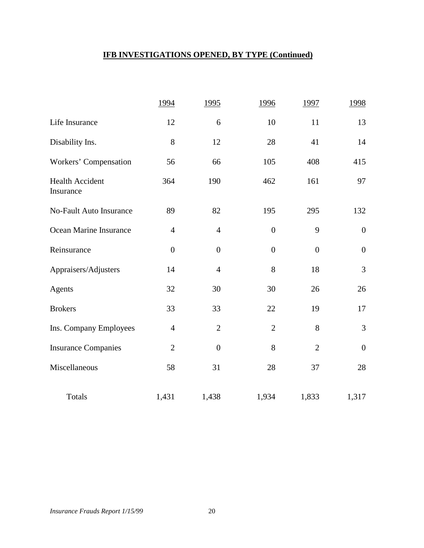# **IFB INVESTIGATIONS OPENED, BY TYPE (Continued)**

|                                     | 1994           | 1995           | 1996             | 1997           | 1998             |
|-------------------------------------|----------------|----------------|------------------|----------------|------------------|
| Life Insurance                      | 12             | 6              | 10               | 11             | 13               |
| Disability Ins.                     | 8              | 12             | 28               | 41             | 14               |
| Workers' Compensation               | 56             | 66             | 105              | 408            | 415              |
| <b>Health Accident</b><br>Insurance | 364            | 190            | 462              | 161            | 97               |
| <b>No-Fault Auto Insurance</b>      | 89             | 82             | 195              | 295            | 132              |
| Ocean Marine Insurance              | $\overline{4}$ | $\overline{4}$ | $\boldsymbol{0}$ | 9              | $\boldsymbol{0}$ |
| Reinsurance                         | $\overline{0}$ | $\overline{0}$ | $\overline{0}$   | $\overline{0}$ | $\boldsymbol{0}$ |
| Appraisers/Adjusters                | 14             | $\overline{4}$ | 8                | 18             | 3                |
| Agents                              | 32             | 30             | 30               | 26             | 26               |
| <b>Brokers</b>                      | 33             | 33             | 22               | 19             | 17               |
| Ins. Company Employees              | $\overline{4}$ | $\overline{2}$ | $\overline{2}$   | 8              | 3                |
| <b>Insurance Companies</b>          | $\overline{2}$ | $\overline{0}$ | 8                | $\overline{2}$ | $\boldsymbol{0}$ |
| Miscellaneous                       | 58             | 31             | 28               | 37             | 28               |
| <b>Totals</b>                       | 1,431          | 1,438          | 1,934            | 1,833          | 1,317            |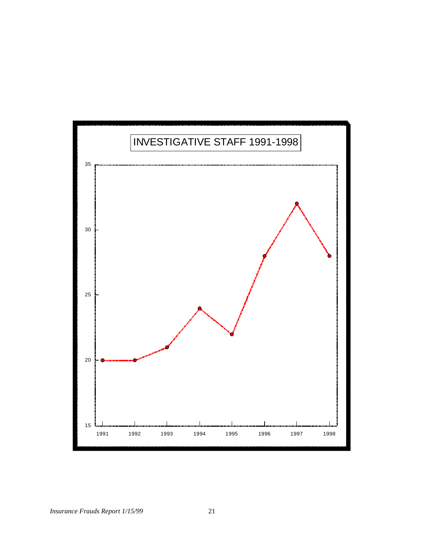

*Insurance Frauds Report 1/15/99* 21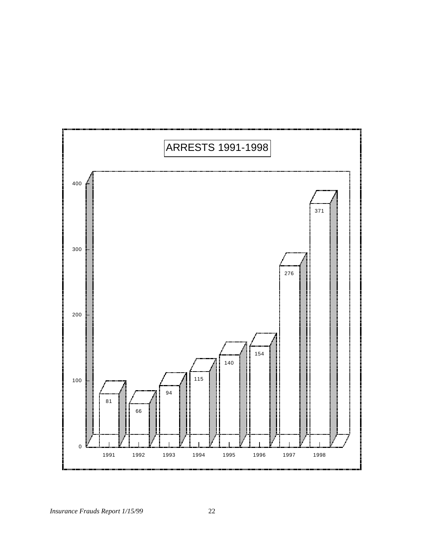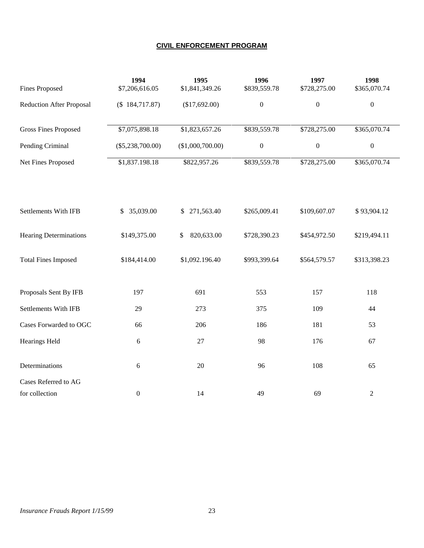### **CIVIL ENFORCEMENT PROGRAM**

|                                 | 1994               | 1995             | 1996             | 1997             | 1998             |
|---------------------------------|--------------------|------------------|------------------|------------------|------------------|
| <b>Fines Proposed</b>           | \$7,206,616.05     | \$1,841,349.26   | \$839,559.78     | \$728,275.00     | \$365,070.74     |
| <b>Reduction After Proposal</b> | (\$184,717.87)     | (\$17,692.00)    | $\boldsymbol{0}$ | $\boldsymbol{0}$ | $\boldsymbol{0}$ |
| <b>Gross Fines Proposed</b>     | \$7,075,898.18     | \$1,823,657.26   | \$839,559.78     | \$728,275.00     | \$365,070.74     |
| Pending Criminal                | $(\$5,238,700.00)$ | (\$1,000,700.00) | $\boldsymbol{0}$ | $\boldsymbol{0}$ | $\boldsymbol{0}$ |
| Net Fines Proposed              | \$1,837.198.18     | \$822,957.26     | \$839,559.78     | \$728,275.00     | \$365,070.74     |
| Settlements With IFB            | 35,039.00<br>\$    | 271,563.40<br>\$ | \$265,009.41     | \$109,607.07     | \$93,904.12      |
| <b>Hearing Determinations</b>   | \$149,375.00       | 820,633.00<br>\$ | \$728,390.23     | \$454,972.50     | \$219,494.11     |
| <b>Total Fines Imposed</b>      | \$184,414.00       | \$1,092.196.40   | \$993,399.64     | \$564,579.57     | \$313,398.23     |
| Proposals Sent By IFB           | 197                | 691              | 553              | 157              | 118              |
| <b>Settlements With IFB</b>     | 29                 | 273              | 375              | 109              | 44               |
| Cases Forwarded to OGC          | 66                 | 206              | 186              | 181              | 53               |
| <b>Hearings Held</b>            | $\epsilon$         | 27               | 98               | 176              | 67               |
| Determinations                  | 6                  | $20\,$           | 96               | 108              | 65               |
| Cases Referred to AG            |                    |                  |                  |                  |                  |
| for collection                  | $\boldsymbol{0}$   | 14               | 49               | 69               | $\sqrt{2}$       |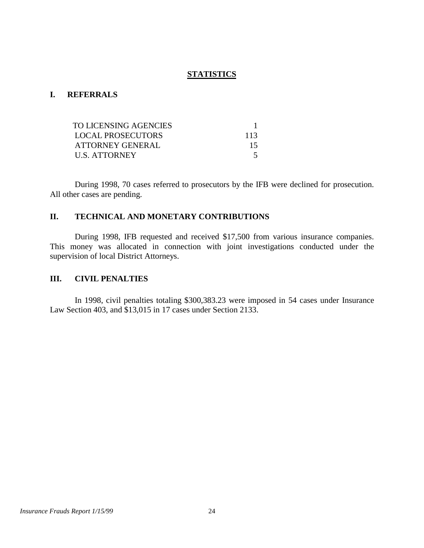### **STATISTICS**

### **I. REFERRALS**

| TO LICENSING AGENCIES    |     |
|--------------------------|-----|
| <b>LOCAL PROSECUTORS</b> | 113 |
| ATTORNEY GENERAL         | 15  |
| U.S. ATTORNEY            |     |

 During 1998, 70 cases referred to prosecutors by the IFB were declined for prosecution. All other cases are pending.

### **II. TECHNICAL AND MONETARY CONTRIBUTIONS**

During 1998, IFB requested and received \$17,500 from various insurance companies. This money was allocated in connection with joint investigations conducted under the supervision of local District Attorneys.

### **III. CIVIL PENALTIES**

In 1998, civil penalties totaling \$300,383.23 were imposed in 54 cases under Insurance Law Section 403, and \$13,015 in 17 cases under Section 2133.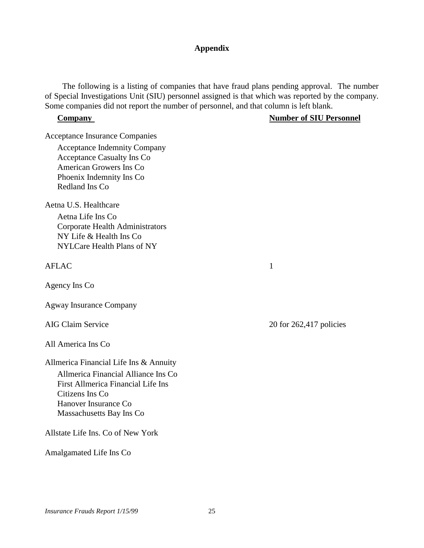### **Appendix**

The following is a listing of companies that have fraud plans pending approval. The number of Special Investigations Unit (SIU) personnel assigned is that which was reported by the company. Some companies did not report the number of personnel, and that column is left blank.

### **Company Number of SIU Personnel**

Acceptance Insurance Companies

Acceptance Indemnity Company Acceptance Casualty Ins Co American Growers Ins Co Phoenix Indemnity Ins Co Redland Ins Co

Aetna U.S. Healthcare

Aetna Life Ins Co Corporate Health Administrators NY Life & Health Ins Co NYLCare Health Plans of NY

AFLAC 1

Agency Ins Co

Agway Insurance Company

All America Ins Co

Allmerica Financial Life Ins & Annuity

Allmerica Financial Alliance Ins Co First Allmerica Financial Life Ins Citizens Ins Co Hanover Insurance Co Massachusetts Bay Ins Co

Allstate Life Ins. Co of New York

Amalgamated Life Ins Co

AIG Claim Service 20 for 262,417 policies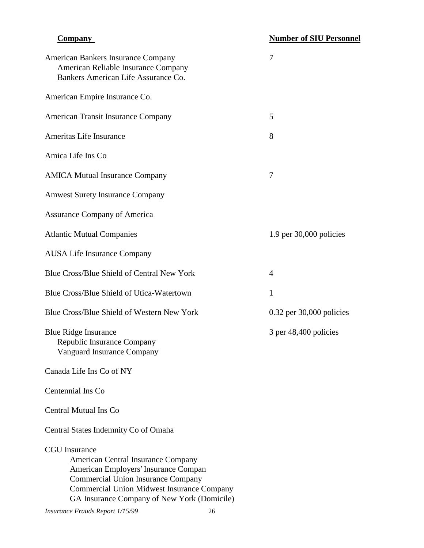| <b>American Bankers Insurance Company</b><br>American Reliable Insurance Company<br>Bankers American Life Assurance Co.                                                                                                                             | 7                            |
|-----------------------------------------------------------------------------------------------------------------------------------------------------------------------------------------------------------------------------------------------------|------------------------------|
| American Empire Insurance Co.                                                                                                                                                                                                                       |                              |
| <b>American Transit Insurance Company</b>                                                                                                                                                                                                           | 5                            |
| Ameritas Life Insurance                                                                                                                                                                                                                             | 8                            |
| Amica Life Ins Co                                                                                                                                                                                                                                   |                              |
| <b>AMICA Mutual Insurance Company</b>                                                                                                                                                                                                               | 7                            |
| <b>Amwest Surety Insurance Company</b>                                                                                                                                                                                                              |                              |
| <b>Assurance Company of America</b>                                                                                                                                                                                                                 |                              |
| <b>Atlantic Mutual Companies</b>                                                                                                                                                                                                                    | $1.9$ per $30,000$ policies  |
| <b>AUSA Life Insurance Company</b>                                                                                                                                                                                                                  |                              |
| Blue Cross/Blue Shield of Central New York                                                                                                                                                                                                          | $\overline{4}$               |
| Blue Cross/Blue Shield of Utica-Watertown                                                                                                                                                                                                           | 1                            |
| Blue Cross/Blue Shield of Western New York                                                                                                                                                                                                          | $0.32$ per $30,000$ policies |
| <b>Blue Ridge Insurance</b><br>Republic Insurance Company<br><b>Vanguard Insurance Company</b>                                                                                                                                                      | 3 per 48,400 policies        |
| Canada Life Ins Co of NY                                                                                                                                                                                                                            |                              |
| Centennial Ins Co                                                                                                                                                                                                                                   |                              |
| Central Mutual Ins Co                                                                                                                                                                                                                               |                              |
| Central States Indemnity Co of Omaha                                                                                                                                                                                                                |                              |
| <b>CGU</b> Insurance<br>American Central Insurance Company<br>American Employers' Insurance Compan<br><b>Commercial Union Insurance Company</b><br><b>Commercial Union Midwest Insurance Company</b><br>GA Insurance Company of New York (Domicile) |                              |

### *Insurance Frauds Report 1/15/99* 26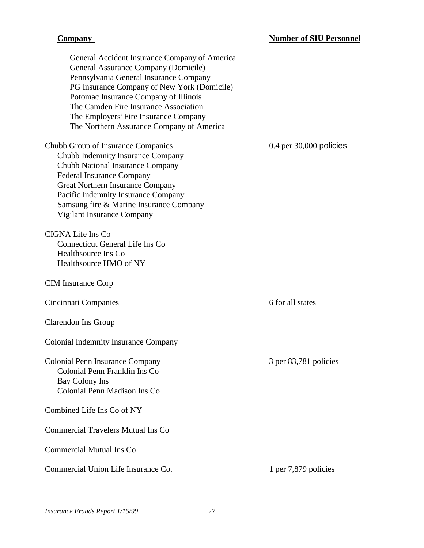| General Accident Insurance Company of America<br>General Assurance Company (Domicile)<br>Pennsylvania General Insurance Company<br>PG Insurance Company of New York (Domicile)<br>Potomac Insurance Company of Illinois<br>The Camden Fire Insurance Association<br>The Employers' Fire Insurance Company<br>The Northern Assurance Company of America |                             |
|--------------------------------------------------------------------------------------------------------------------------------------------------------------------------------------------------------------------------------------------------------------------------------------------------------------------------------------------------------|-----------------------------|
| Chubb Group of Insurance Companies<br>Chubb Indemnity Insurance Company<br>Chubb National Insurance Company<br><b>Federal Insurance Company</b><br>Great Northern Insurance Company<br>Pacific Indemnity Insurance Company<br>Samsung fire & Marine Insurance Company<br>Vigilant Insurance Company                                                    | $0.4$ per $30,000$ policies |
| CIGNA Life Ins Co<br>Connecticut General Life Ins Co<br>Healthsource Ins Co<br>Healthsource HMO of NY                                                                                                                                                                                                                                                  |                             |
| <b>CIM</b> Insurance Corp                                                                                                                                                                                                                                                                                                                              |                             |
| Cincinnati Companies                                                                                                                                                                                                                                                                                                                                   | 6 for all states            |
| <b>Clarendon Ins Group</b>                                                                                                                                                                                                                                                                                                                             |                             |
| <b>Colonial Indemnity Insurance Company</b>                                                                                                                                                                                                                                                                                                            |                             |
| <b>Colonial Penn Insurance Company</b><br>Colonial Penn Franklin Ins Co<br>Bay Colony Ins<br>Colonial Penn Madison Ins Co                                                                                                                                                                                                                              | 3 per 83,781 policies       |
| Combined Life Ins Co of NY                                                                                                                                                                                                                                                                                                                             |                             |
| <b>Commercial Travelers Mutual Ins Co</b>                                                                                                                                                                                                                                                                                                              |                             |
| <b>Commercial Mutual Ins Co</b>                                                                                                                                                                                                                                                                                                                        |                             |
| Commercial Union Life Insurance Co.                                                                                                                                                                                                                                                                                                                    | 1 per 7,879 policies        |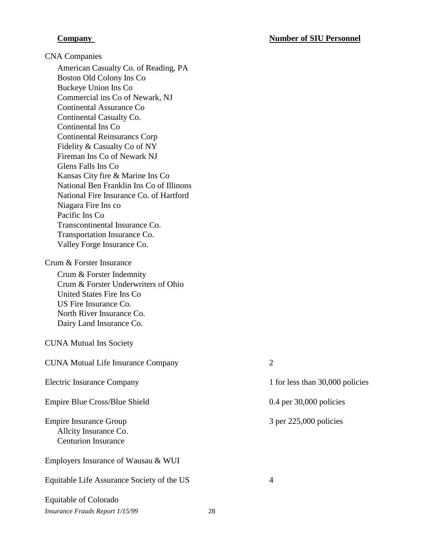### **Company Company Number of SIU Personnel**

CNA Companies

American Casualty Co. of Reading, PA Boston Old Colony Ins Co Buckeye Union Ins Co Commercial ins Co of Newark, NJ Continental Assurance Co Continental Casualty Co. Continental Ins Co Continental Reinsurancs Corp Fidelity & Casualty Co of NY Fireman Ins Co of Newark NJ Glens Falls Ins Co Kansas City fire & Marine Ins Co National Ben Franklin Ins Co of Illinons National Fire Insurance Co. of Hartford Niagara Fire Ins co Pacific Ins Co Transcontinental Insurance Co. Transportation Insurance Co. Valley Forge Insurance Co.

### Crum & Forster Insurance

Crum & Forster Indemnity Crum & Forster Underwriters of Ohio United States Fire Ins Co US Fire Insurance Co. North River Insurance Co. Dairy Land Insurance Co.

### CUNA Mutual Ins Society

CUNA Mutual Life Insurance Company 2 Electric Insurance Company 1 for less than 30,000 policies Empire Blue Cross/Blue Shield 0.4 per 30,000 policies Empire Insurance Group Allcity Insurance Co. Centurion Insurance 3 per 225,000 policies Employers Insurance of Wausau & WUI Equitable Life Assurance Society of the US 4 Equitable of Colorado

*Insurance Frauds Report 1/15/99* 28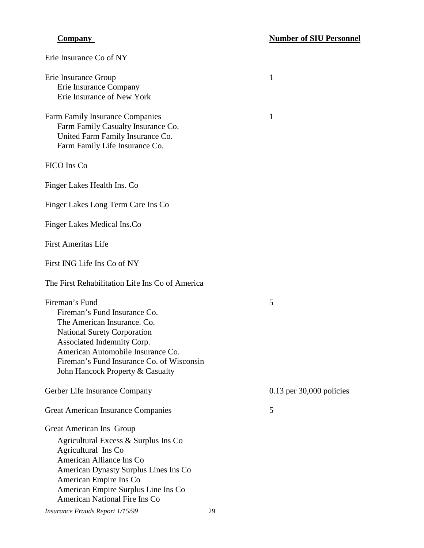| Erie Insurance Co of NY                                                                                                                                                                                                                                                 |    |                            |
|-------------------------------------------------------------------------------------------------------------------------------------------------------------------------------------------------------------------------------------------------------------------------|----|----------------------------|
| Erie Insurance Group<br>Erie Insurance Company<br>Erie Insurance of New York                                                                                                                                                                                            |    | 1                          |
| <b>Farm Family Insurance Companies</b><br>Farm Family Casualty Insurance Co.<br>United Farm Family Insurance Co.<br>Farm Family Life Insurance Co.                                                                                                                      |    | 1                          |
| FICO Ins Co                                                                                                                                                                                                                                                             |    |                            |
| Finger Lakes Health Ins. Co                                                                                                                                                                                                                                             |    |                            |
| Finger Lakes Long Term Care Ins Co                                                                                                                                                                                                                                      |    |                            |
| Finger Lakes Medical Ins.Co                                                                                                                                                                                                                                             |    |                            |
| <b>First Ameritas Life</b>                                                                                                                                                                                                                                              |    |                            |
| First ING Life Ins Co of NY                                                                                                                                                                                                                                             |    |                            |
| The First Rehabilitation Life Ins Co of America                                                                                                                                                                                                                         |    |                            |
| Fireman's Fund<br>Fireman's Fund Insurance Co.<br>The American Insurance. Co.<br><b>National Surety Corporation</b><br>Associated Indemnity Corp.<br>American Automobile Insurance Co.<br>Fireman's Fund Insurance Co. of Wisconsin<br>John Hancock Property & Casualty |    | 5                          |
| Gerber Life Insurance Company                                                                                                                                                                                                                                           |    | $0.13$ per 30,000 policies |
| <b>Great American Insurance Companies</b>                                                                                                                                                                                                                               |    | 5                          |
| Great American Ins Group<br>Agricultural Excess & Surplus Ins Co<br>Agricultural Ins Co<br>American Alliance Ins Co<br>American Dynasty Surplus Lines Ins Co<br>American Empire Ins Co<br>American Empire Surplus Line Ins Co<br>American National Fire Ins Co          |    |                            |
| Insurance Frauds Report 1/15/99                                                                                                                                                                                                                                         | 29 |                            |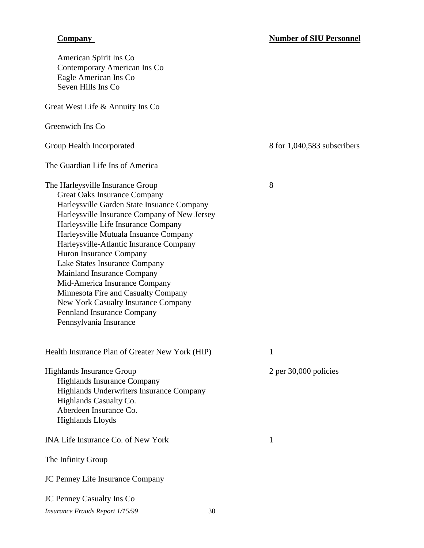| American Spirit Ins Co<br><b>Contemporary American Ins Co</b><br>Eagle American Ins Co<br>Seven Hills Ins Co                                                                                                                                                                                                                                                                                                                                                                                                                                                      |    |                             |
|-------------------------------------------------------------------------------------------------------------------------------------------------------------------------------------------------------------------------------------------------------------------------------------------------------------------------------------------------------------------------------------------------------------------------------------------------------------------------------------------------------------------------------------------------------------------|----|-----------------------------|
| Great West Life & Annuity Ins Co                                                                                                                                                                                                                                                                                                                                                                                                                                                                                                                                  |    |                             |
| Greenwich Ins Co.                                                                                                                                                                                                                                                                                                                                                                                                                                                                                                                                                 |    |                             |
| Group Health Incorporated                                                                                                                                                                                                                                                                                                                                                                                                                                                                                                                                         |    | 8 for 1,040,583 subscribers |
| The Guardian Life Ins of America                                                                                                                                                                                                                                                                                                                                                                                                                                                                                                                                  |    |                             |
| The Harleysville Insurance Group<br><b>Great Oaks Insurance Company</b><br>Harleysville Garden State Insuance Company<br>Harleysville Insurance Company of New Jersey<br>Harleysville Life Insurance Company<br>Harleysville Mutuala Insuance Company<br>Harleysville-Atlantic Insurance Company<br>Huron Insurance Company<br>Lake States Insurance Company<br>Mainland Insurance Company<br>Mid-America Insurance Company<br>Minnesota Fire and Casualty Company<br>New York Casualty Insurance Company<br>Pennland Insurance Company<br>Pennsylvania Insurance |    | 8                           |
| Health Insurance Plan of Greater New York (HIP)                                                                                                                                                                                                                                                                                                                                                                                                                                                                                                                   |    | 1                           |
| <b>Highlands Insurance Group</b><br><b>Highlands Insurance Company</b><br>Highlands Underwriters Insurance Company<br>Highlands Casualty Co.<br>Aberdeen Insurance Co.<br><b>Highlands Lloyds</b>                                                                                                                                                                                                                                                                                                                                                                 |    | 2 per 30,000 policies       |
| <b>INA Life Insurance Co. of New York</b>                                                                                                                                                                                                                                                                                                                                                                                                                                                                                                                         |    | 1                           |
| The Infinity Group                                                                                                                                                                                                                                                                                                                                                                                                                                                                                                                                                |    |                             |
| JC Penney Life Insurance Company                                                                                                                                                                                                                                                                                                                                                                                                                                                                                                                                  |    |                             |
| <b>JC Penney Casualty Ins Co</b>                                                                                                                                                                                                                                                                                                                                                                                                                                                                                                                                  |    |                             |
| Insurance Frauds Report 1/15/99                                                                                                                                                                                                                                                                                                                                                                                                                                                                                                                                   | 30 |                             |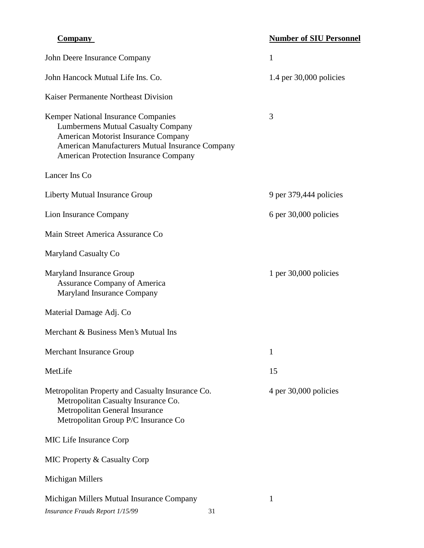# **Number of SIU Personnel**

| John Deere Insurance Company                                                                                                                                                                                               | 1                           |
|----------------------------------------------------------------------------------------------------------------------------------------------------------------------------------------------------------------------------|-----------------------------|
| John Hancock Mutual Life Ins. Co.                                                                                                                                                                                          | $1.4$ per $30,000$ policies |
| Kaiser Permanente Northeast Division                                                                                                                                                                                       |                             |
| Kemper National Insurance Companies<br><b>Lumbermens Mutual Casualty Company</b><br>American Motorist Insurance Company<br>American Manufacturers Mutual Insurance Company<br><b>American Protection Insurance Company</b> | 3                           |
| Lancer Ins Co                                                                                                                                                                                                              |                             |
| Liberty Mutual Insurance Group                                                                                                                                                                                             | 9 per 379,444 policies      |
| Lion Insurance Company                                                                                                                                                                                                     | 6 per 30,000 policies       |
| Main Street America Assurance Co                                                                                                                                                                                           |                             |
| Maryland Casualty Co                                                                                                                                                                                                       |                             |
| Maryland Insurance Group<br><b>Assurance Company of America</b><br>Maryland Insurance Company                                                                                                                              | 1 per $30,000$ policies     |
| Material Damage Adj. Co                                                                                                                                                                                                    |                             |
| Merchant & Business Men's Mutual Ins                                                                                                                                                                                       |                             |
| Merchant Insurance Group                                                                                                                                                                                                   | 1                           |
| MetLife                                                                                                                                                                                                                    | 15                          |
| Metropolitan Property and Casualty Insurance Co.<br>Metropolitan Casualty Insurance Co.<br>Metropolitan General Insurance<br>Metropolitan Group P/C Insurance Co                                                           | 4 per 30,000 policies       |
| MIC Life Insurance Corp                                                                                                                                                                                                    |                             |
| MIC Property & Casualty Corp                                                                                                                                                                                               |                             |
| Michigan Millers                                                                                                                                                                                                           |                             |
| Michigan Millers Mutual Insurance Company<br>Insurance Frauds Report 1/15/99<br>31                                                                                                                                         | 1                           |

**Company**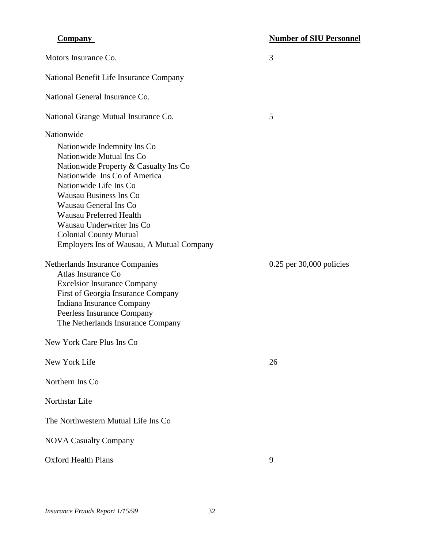| Motors Insurance Co.                                                                                                                                                                                                                                                                                                                                                                    | 3                          |
|-----------------------------------------------------------------------------------------------------------------------------------------------------------------------------------------------------------------------------------------------------------------------------------------------------------------------------------------------------------------------------------------|----------------------------|
| National Benefit Life Insurance Company                                                                                                                                                                                                                                                                                                                                                 |                            |
| National General Insurance Co.                                                                                                                                                                                                                                                                                                                                                          |                            |
| National Grange Mutual Insurance Co.                                                                                                                                                                                                                                                                                                                                                    | 5                          |
| Nationwide<br>Nationwide Indemnity Ins Co.<br>Nationwide Mutual Ins Co<br>Nationwide Property & Casualty Ins Co<br>Nationwide Ins Co of America<br>Nationwide Life Ins Co<br><b>Wausau Business Ins Co</b><br><b>Wausau General Ins Co</b><br><b>Wausau Preferred Health</b><br>Wausau Underwriter Ins Co<br><b>Colonial County Mutual</b><br>Employers Ins of Wausau, A Mutual Company |                            |
| Netherlands Insurance Companies<br>Atlas Insurance Co<br><b>Excelsior Insurance Company</b><br>First of Georgia Insurance Company<br>Indiana Insurance Company<br>Peerless Insurance Company<br>The Netherlands Insurance Company                                                                                                                                                       | $0.25$ per 30,000 policies |
| New York Care Plus Ins Co                                                                                                                                                                                                                                                                                                                                                               |                            |
| New York Life                                                                                                                                                                                                                                                                                                                                                                           | 26                         |
| Northern Ins Co                                                                                                                                                                                                                                                                                                                                                                         |                            |
| Northstar Life                                                                                                                                                                                                                                                                                                                                                                          |                            |
| The Northwestern Mutual Life Ins Co                                                                                                                                                                                                                                                                                                                                                     |                            |
| <b>NOVA Casualty Company</b>                                                                                                                                                                                                                                                                                                                                                            |                            |
| <b>Oxford Health Plans</b>                                                                                                                                                                                                                                                                                                                                                              | 9                          |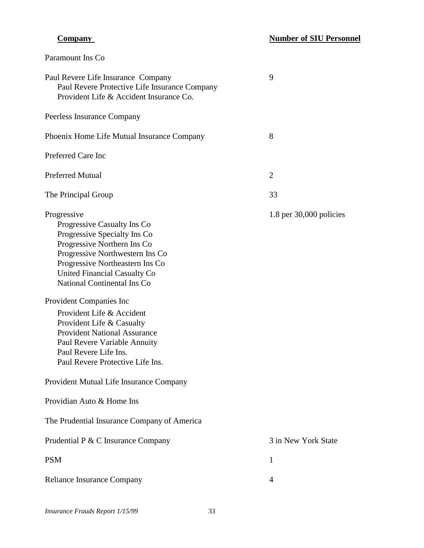| Paramount Ins Co                                                                                                                                                                                                                                                                                                                                                                                                                                                        |                             |
|-------------------------------------------------------------------------------------------------------------------------------------------------------------------------------------------------------------------------------------------------------------------------------------------------------------------------------------------------------------------------------------------------------------------------------------------------------------------------|-----------------------------|
| Paul Revere Life Insurance Company<br>Paul Revere Protective Life Insurance Company<br>Provident Life & Accident Insurance Co.                                                                                                                                                                                                                                                                                                                                          | 9                           |
| Peerless Insurance Company                                                                                                                                                                                                                                                                                                                                                                                                                                              |                             |
| Phoenix Home Life Mutual Insurance Company                                                                                                                                                                                                                                                                                                                                                                                                                              | 8                           |
| Preferred Care Inc                                                                                                                                                                                                                                                                                                                                                                                                                                                      |                             |
| <b>Preferred Mutual</b>                                                                                                                                                                                                                                                                                                                                                                                                                                                 | $\overline{2}$              |
| The Principal Group                                                                                                                                                                                                                                                                                                                                                                                                                                                     | 33                          |
| Progressive<br>Progressive Casualty Ins Co<br>Progressive Specialty Ins Co<br>Progressive Northern Ins Co<br>Progressive Northwestern Ins Co<br>Progressive Northeastern Ins Co<br>United Financial Casualty Co<br>National Continental Ins Co<br>Provident Companies Inc<br>Provident Life & Accident<br>Provident Life & Casualty<br><b>Provident National Assurance</b><br>Paul Revere Variable Annuity<br>Paul Revere Life Ins.<br>Paul Revere Protective Life Ins. | $1.8$ per $30,000$ policies |
| Provident Mutual Life Insurance Company                                                                                                                                                                                                                                                                                                                                                                                                                                 |                             |
| Providian Auto & Home Ins                                                                                                                                                                                                                                                                                                                                                                                                                                               |                             |
| The Prudential Insurance Company of America                                                                                                                                                                                                                                                                                                                                                                                                                             |                             |
| Prudential P & C Insurance Company                                                                                                                                                                                                                                                                                                                                                                                                                                      | 3 in New York State         |
| <b>PSM</b>                                                                                                                                                                                                                                                                                                                                                                                                                                                              | 1                           |
| Reliance Insurance Company                                                                                                                                                                                                                                                                                                                                                                                                                                              | 4                           |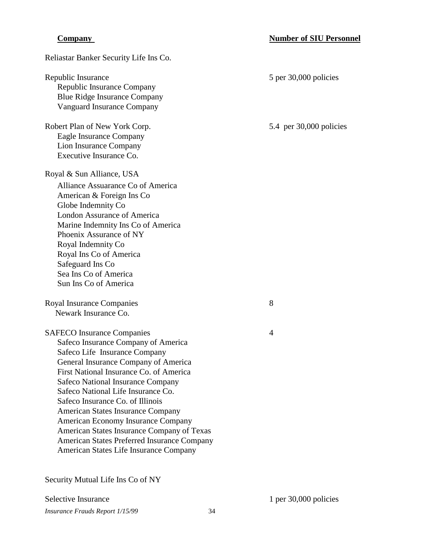| Reliastar Banker Security Life Ins Co.                                                                                                                                                                                                                                                                                                                                                                                                                                                                                               |                           |
|--------------------------------------------------------------------------------------------------------------------------------------------------------------------------------------------------------------------------------------------------------------------------------------------------------------------------------------------------------------------------------------------------------------------------------------------------------------------------------------------------------------------------------------|---------------------------|
| Republic Insurance<br>Republic Insurance Company<br><b>Blue Ridge Insurance Company</b><br><b>Vanguard Insurance Company</b>                                                                                                                                                                                                                                                                                                                                                                                                         | 5 per 30,000 policies     |
| Robert Plan of New York Corp.<br><b>Eagle Insurance Company</b><br>Lion Insurance Company<br>Executive Insurance Co.                                                                                                                                                                                                                                                                                                                                                                                                                 | 5.4 per $30,000$ policies |
| Royal & Sun Alliance, USA<br>Alliance Assuarance Co of America<br>American & Foreign Ins Co<br>Globe Indemnity Co<br><b>London Assurance of America</b><br>Marine Indemnity Ins Co of America<br>Phoenix Assurance of NY<br>Royal Indemnity Co<br>Royal Ins Co of America<br>Safeguard Ins Co<br>Sea Ins Co of America<br>Sun Ins Co of America                                                                                                                                                                                      |                           |
| Royal Insurance Companies<br>Newark Insurance Co.                                                                                                                                                                                                                                                                                                                                                                                                                                                                                    | 8                         |
| <b>SAFECO</b> Insurance Companies<br>Safeco Insurance Company of America<br>Safeco Life Insurance Company<br>General Insurance Company of America<br>First National Insurance Co. of America<br><b>Safeco National Insurance Company</b><br>Safeco National Life Insurance Co.<br>Safeco Insurance Co. of Illinois<br>American States Insurance Company<br>American Economy Insurance Company<br>American States Insurance Company of Texas<br>American States Preferred Insurance Company<br>American States Life Insurance Company | 4                         |

Security Mutual Life Ins Co of NY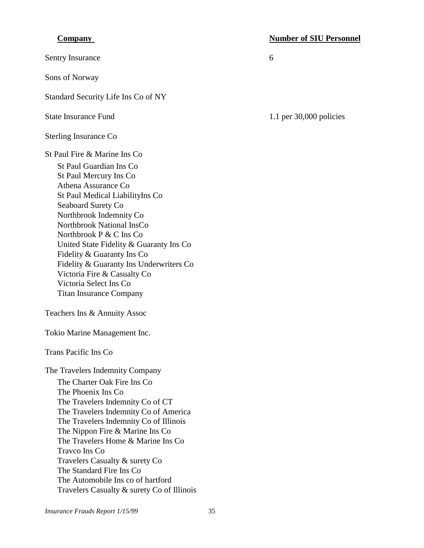Sentry Insurance 6

Sons of Norway

Standard Security Life Ins Co of NY

Sterling Insurance Co

St Paul Fire & Marine Ins Co

St Paul Guardian Ins Co St Paul Mercury Ins Co Athena Assurance Co St Paul Medical LiabilityIns Co Seaboard Surety Co Northbrook Indemnity Co Northbrook National InsCo Northbrook P & C Ins Co United State Fidelity & Guaranty Ins Co Fidelity & Guaranty Ins Co Fidelity & Guaranty Ins Underwriters Co Victoria Fire & Casualty Co Victoria Select Ins Co Titan Insurance Company

Teachers Ins & Annuity Assoc

Tokio Marine Management Inc.

Trans Pacific Ins Co

The Travelers Indemnity Company The Charter Oak Fire Ins Co The Phoenix Ins Co The Travelers Indemnity Co of CT The Travelers Indemnity Co of America The Travelers Indemnity Co of Illinois The Nippon Fire & Marine Ins Co The Travelers Home & Marine Ins Co Travco Ins Co Travelers Casualty & surety Co The Standard Fire Ins Co The Automobile Ins co of hartford Travelers Casualty & surety Co of Illinois

### **Company Company Number of SIU Personnel**

State Insurance Fund 1.1 per 30,000 policies

*Insurance Frauds Report 1/15/99* 35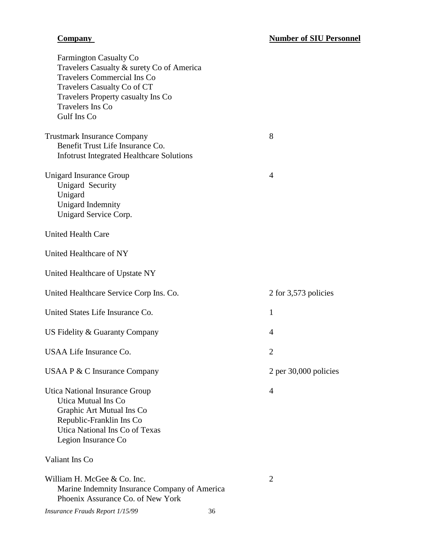| <b>Farmington Casualty Co</b><br>Travelers Casualty & surety Co of America<br><b>Travelers Commercial Ins Co</b><br>Travelers Casualty Co of CT<br>Travelers Property casualty Ins Co<br>Travelers Ins Co<br>Gulf Ins Co |                |                         |
|--------------------------------------------------------------------------------------------------------------------------------------------------------------------------------------------------------------------------|----------------|-------------------------|
| <b>Trustmark Insurance Company</b><br>Benefit Trust Life Insurance Co.<br><b>Infotrust Integrated Healthcare Solutions</b>                                                                                               | 8              |                         |
| <b>Unigard Insurance Group</b><br><b>Unigard Security</b><br>Unigard<br>Unigard Indemnity<br>Unigard Service Corp.                                                                                                       | $\overline{4}$ |                         |
| <b>United Health Care</b>                                                                                                                                                                                                |                |                         |
| United Healthcare of NY                                                                                                                                                                                                  |                |                         |
| United Healthcare of Upstate NY                                                                                                                                                                                          |                |                         |
| United Healthcare Service Corp Ins. Co.                                                                                                                                                                                  |                | 2 for 3,573 policies    |
| United States Life Insurance Co.                                                                                                                                                                                         | 1              |                         |
| US Fidelity & Guaranty Company                                                                                                                                                                                           | $\overline{4}$ |                         |
| USAA Life Insurance Co.                                                                                                                                                                                                  | 2              |                         |
| USAA P & C Insurance Company                                                                                                                                                                                             |                | $2$ per 30,000 policies |
| Utica National Insurance Group<br>Utica Mutual Ins Co<br>Graphic Art Mutual Ins Co<br>Republic-Franklin Ins Co<br>Utica National Ins Co of Texas<br>Legion Insurance Co                                                  | 4              |                         |
| Valiant Ins Co                                                                                                                                                                                                           |                |                         |
| William H. McGee & Co. Inc.<br>Marine Indemnity Insurance Company of America<br>Phoenix Assurance Co. of New York                                                                                                        | $\overline{2}$ |                         |
|                                                                                                                                                                                                                          |                |                         |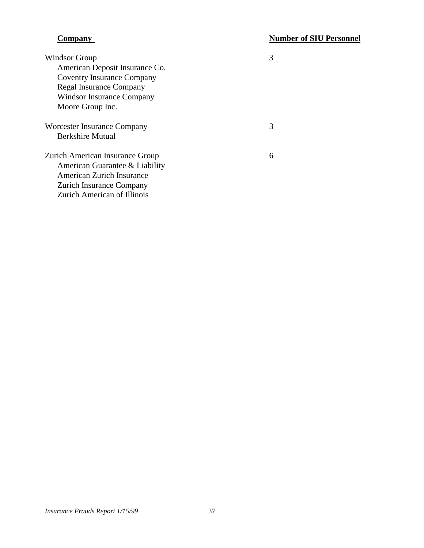| Windsor Group                      |  |
|------------------------------------|--|
| American Deposit Insurance Co.     |  |
| <b>Coventry Insurance Company</b>  |  |
| <b>Regal Insurance Company</b>     |  |
| Windsor Insurance Company          |  |
| Moore Group Inc.                   |  |
| Worcester Insurance Company        |  |
| <b>Berkshire Mutual</b>            |  |
| Zurich American Insurance Group    |  |
| American Guarantee & Liability     |  |
| <b>American Zurich Insurance</b>   |  |
| <b>Zurich Insurance Company</b>    |  |
| <b>Zurich American of Illinois</b> |  |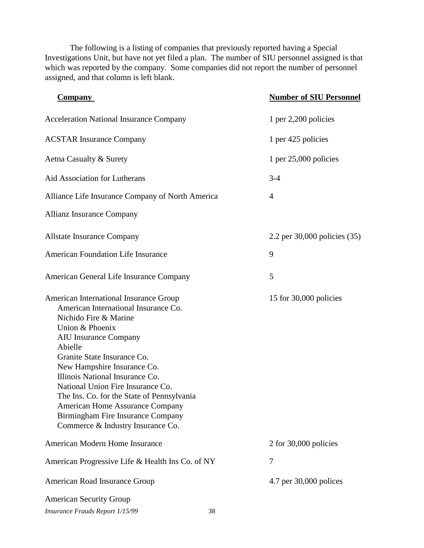The following is a listing of companies that previously reported having a Special Investigations Unit, but have not yet filed a plan. The number of SIU personnel assigned is that which was reported by the company. Some companies did not report the number of personnel assigned, and that column is left blank.

| <b>Company</b>                                                                                                                                                                                                                                                                                                                                                                                                                                                                | <b>Number of SIU Personnel</b> |
|-------------------------------------------------------------------------------------------------------------------------------------------------------------------------------------------------------------------------------------------------------------------------------------------------------------------------------------------------------------------------------------------------------------------------------------------------------------------------------|--------------------------------|
| <b>Acceleration National Insurance Company</b>                                                                                                                                                                                                                                                                                                                                                                                                                                | 1 per $2,200$ policies         |
| <b>ACSTAR Insurance Company</b>                                                                                                                                                                                                                                                                                                                                                                                                                                               | 1 per 425 policies             |
| Aetna Casualty & Surety                                                                                                                                                                                                                                                                                                                                                                                                                                                       | 1 per $25,000$ policies        |
| Aid Association for Lutherans                                                                                                                                                                                                                                                                                                                                                                                                                                                 | $3-4$                          |
| Alliance Life Insurance Company of North America                                                                                                                                                                                                                                                                                                                                                                                                                              | $\overline{4}$                 |
| <b>Allianz Insurance Company</b>                                                                                                                                                                                                                                                                                                                                                                                                                                              |                                |
| <b>Allstate Insurance Company</b>                                                                                                                                                                                                                                                                                                                                                                                                                                             | 2.2 per 30,000 policies (35)   |
| <b>American Foundation Life Insurance</b>                                                                                                                                                                                                                                                                                                                                                                                                                                     | 9                              |
| American General Life Insurance Company                                                                                                                                                                                                                                                                                                                                                                                                                                       | 5                              |
| American International Insurance Group<br>American International Insurance Co.<br>Nichido Fire & Marine<br>Union & Phoenix<br><b>AIU Insurance Company</b><br>Abielle<br>Granite State Insurance Co.<br>New Hampshire Insurance Co.<br>Illinois National Insurance Co.<br>National Union Fire Insurance Co.<br>The Ins. Co. for the State of Pennsylvania<br><b>American Home Assurance Company</b><br>Birmingham Fire Insurance Company<br>Commerce & Industry Insurance Co. | 15 for 30,000 policies         |
| American Modern Home Insurance                                                                                                                                                                                                                                                                                                                                                                                                                                                | 2 for 30,000 policies          |
| American Progressive Life & Health Ins Co. of NY                                                                                                                                                                                                                                                                                                                                                                                                                              | 7                              |
| American Road Insurance Group                                                                                                                                                                                                                                                                                                                                                                                                                                                 | 4.7 per 30,000 polices         |
| <b>American Security Group</b><br>Insurance Frauds Report 1/15/99                                                                                                                                                                                                                                                                                                                                                                                                             | 38                             |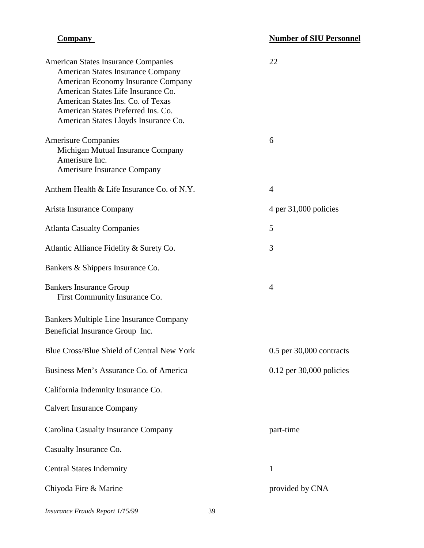| <b>American States Insurance Companies</b><br><b>American States Insurance Company</b><br>American Economy Insurance Company<br>American States Life Insurance Co.<br>American States Ins. Co. of Texas<br>American States Preferred Ins. Co.<br>American States Lloyds Insurance Co. | 22                           |
|---------------------------------------------------------------------------------------------------------------------------------------------------------------------------------------------------------------------------------------------------------------------------------------|------------------------------|
| <b>Amerisure Companies</b><br>Michigan Mutual Insurance Company<br>Amerisure Inc.<br>Amerisure Insurance Company                                                                                                                                                                      | 6                            |
| Anthem Health & Life Insurance Co. of N.Y.                                                                                                                                                                                                                                            | $\overline{A}$               |
| Arista Insurance Company                                                                                                                                                                                                                                                              | 4 per 31,000 policies        |
| <b>Atlanta Casualty Companies</b>                                                                                                                                                                                                                                                     | 5                            |
| Atlantic Alliance Fidelity & Surety Co.                                                                                                                                                                                                                                               | 3                            |
| Bankers & Shippers Insurance Co.                                                                                                                                                                                                                                                      |                              |
| <b>Bankers Insurance Group</b><br>First Community Insurance Co.                                                                                                                                                                                                                       | $\overline{4}$               |
| <b>Bankers Multiple Line Insurance Company</b><br>Beneficial Insurance Group Inc.                                                                                                                                                                                                     |                              |
| Blue Cross/Blue Shield of Central New York                                                                                                                                                                                                                                            | $0.5$ per $30,000$ contracts |
| Business Men's Assurance Co. of America                                                                                                                                                                                                                                               | $0.12$ per 30,000 policies   |
| California Indemnity Insurance Co.                                                                                                                                                                                                                                                    |                              |
| <b>Calvert Insurance Company</b>                                                                                                                                                                                                                                                      |                              |
| Carolina Casualty Insurance Company                                                                                                                                                                                                                                                   | part-time                    |
| Casualty Insurance Co.                                                                                                                                                                                                                                                                |                              |
| <b>Central States Indemnity</b>                                                                                                                                                                                                                                                       | 1                            |
| Chiyoda Fire & Marine                                                                                                                                                                                                                                                                 | provided by CNA              |

*Insurance Frauds Report 1/15/99* 39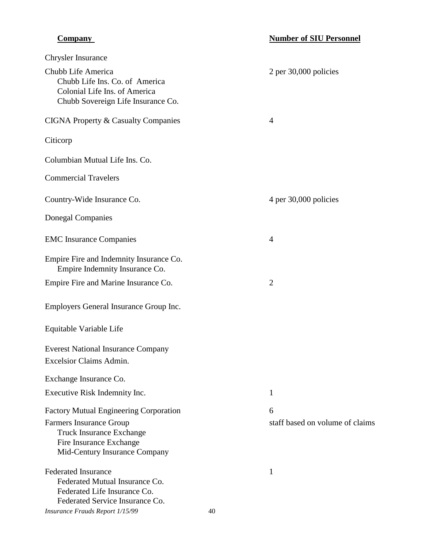| <b>Chrysler Insurance</b>                                                                                                                                               |    |                                      |
|-------------------------------------------------------------------------------------------------------------------------------------------------------------------------|----|--------------------------------------|
| Chubb Life America<br>Chubb Life Ins. Co. of America<br>Colonial Life Ins. of America<br>Chubb Sovereign Life Insurance Co.                                             |    | 2 per 30,000 policies                |
| <b>CIGNA Property &amp; Casualty Companies</b>                                                                                                                          |    | $\overline{4}$                       |
| Citicorp                                                                                                                                                                |    |                                      |
| Columbian Mutual Life Ins. Co.                                                                                                                                          |    |                                      |
| <b>Commercial Travelers</b>                                                                                                                                             |    |                                      |
| Country-Wide Insurance Co.                                                                                                                                              |    | 4 per 30,000 policies                |
| <b>Donegal Companies</b>                                                                                                                                                |    |                                      |
| <b>EMC</b> Insurance Companies                                                                                                                                          |    | $\overline{4}$                       |
| Empire Fire and Indemnity Insurance Co.<br>Empire Indemnity Insurance Co.                                                                                               |    |                                      |
| Empire Fire and Marine Insurance Co.                                                                                                                                    |    | $\overline{2}$                       |
| Employers General Insurance Group Inc.                                                                                                                                  |    |                                      |
| Equitable Variable Life                                                                                                                                                 |    |                                      |
| <b>Everest National Insurance Company</b><br>Excelsior Claims Admin.                                                                                                    |    |                                      |
| Exchange Insurance Co.                                                                                                                                                  |    |                                      |
| Executive Risk Indemnity Inc.                                                                                                                                           |    | 1                                    |
| <b>Factory Mutual Engineering Corporation</b><br>Farmers Insurance Group<br><b>Truck Insurance Exchange</b><br>Fire Insurance Exchange<br>Mid-Century Insurance Company |    | 6<br>staff based on volume of claims |
| <b>Federated Insurance</b><br>Federated Mutual Insurance Co.<br>Federated Life Insurance Co.<br>Federated Service Insurance Co.<br>Insurance Frauds Report 1/15/99      | 40 | 1                                    |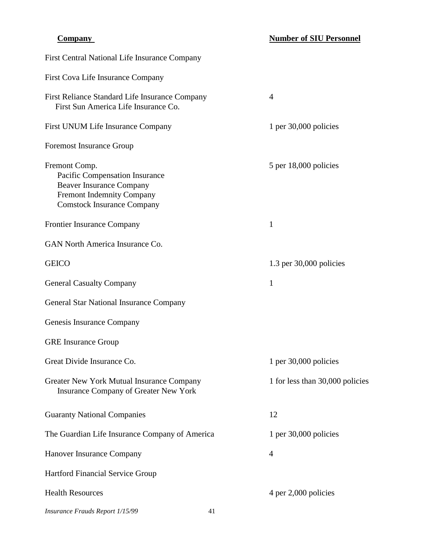| First Central National Life Insurance Company                                                                                                               |                                 |
|-------------------------------------------------------------------------------------------------------------------------------------------------------------|---------------------------------|
| First Cova Life Insurance Company                                                                                                                           |                                 |
| First Reliance Standard Life Insurance Company<br>First Sun America Life Insurance Co.                                                                      | $\overline{4}$                  |
| First UNUM Life Insurance Company                                                                                                                           | 1 per $30,000$ policies         |
| <b>Foremost Insurance Group</b>                                                                                                                             |                                 |
| Fremont Comp.<br>Pacific Compensation Insurance<br><b>Beaver Insurance Company</b><br><b>Fremont Indemnity Company</b><br><b>Comstock Insurance Company</b> | 5 per 18,000 policies           |
| <b>Frontier Insurance Company</b>                                                                                                                           | 1                               |
| GAN North America Insurance Co.                                                                                                                             |                                 |
| <b>GEICO</b>                                                                                                                                                | $1.3$ per $30,000$ policies     |
| <b>General Casualty Company</b>                                                                                                                             | 1                               |
| General Star National Insurance Company                                                                                                                     |                                 |
| Genesis Insurance Company                                                                                                                                   |                                 |
| <b>GRE</b> Insurance Group                                                                                                                                  |                                 |
| Great Divide Insurance Co.                                                                                                                                  | 1 per $30,000$ policies         |
| Greater New York Mutual Insurance Company<br><b>Insurance Company of Greater New York</b>                                                                   | 1 for less than 30,000 policies |
| <b>Guaranty National Companies</b>                                                                                                                          | 12                              |
| The Guardian Life Insurance Company of America                                                                                                              | 1 per $30,000$ policies         |
| Hanover Insurance Company                                                                                                                                   | 4                               |
| Hartford Financial Service Group                                                                                                                            |                                 |
| <b>Health Resources</b>                                                                                                                                     | 4 per 2,000 policies            |

*Insurance Frauds Report 1/15/99* 41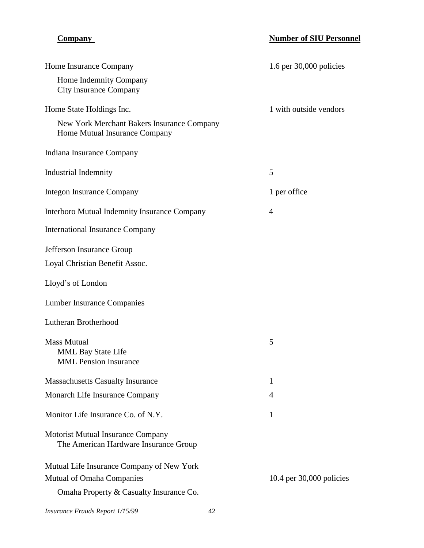| Home Insurance Company                                                            | 1.6 per $30,000$ policies |
|-----------------------------------------------------------------------------------|---------------------------|
| Home Indemnity Company<br><b>City Insurance Company</b>                           |                           |
| Home State Holdings Inc.                                                          | 1 with outside vendors    |
| New York Merchant Bakers Insurance Company<br>Home Mutual Insurance Company       |                           |
| Indiana Insurance Company                                                         |                           |
| <b>Industrial Indemnity</b>                                                       | 5                         |
| <b>Integon Insurance Company</b>                                                  | 1 per office              |
| <b>Interboro Mutual Indemnity Insurance Company</b>                               | $\overline{4}$            |
| <b>International Insurance Company</b>                                            |                           |
| Jefferson Insurance Group                                                         |                           |
| Loyal Christian Benefit Assoc.                                                    |                           |
| Lloyd's of London                                                                 |                           |
| <b>Lumber Insurance Companies</b>                                                 |                           |
| Lutheran Brotherhood                                                              |                           |
| <b>Mass Mutual</b>                                                                | 5                         |
| <b>MML Bay State Life</b><br><b>MML</b> Pension Insurance                         |                           |
|                                                                                   |                           |
| <b>Massachusetts Casualty Insurance</b>                                           | 1                         |
| Monarch Life Insurance Company                                                    | 4                         |
| Monitor Life Insurance Co. of N.Y.                                                | 1                         |
| <b>Motorist Mutual Insurance Company</b><br>The American Hardware Insurance Group |                           |
| Mutual Life Insurance Company of New York                                         |                           |
| Mutual of Omaha Companies                                                         | 10.4 per 30,000 policies  |
| Omaha Property & Casualty Insurance Co.                                           |                           |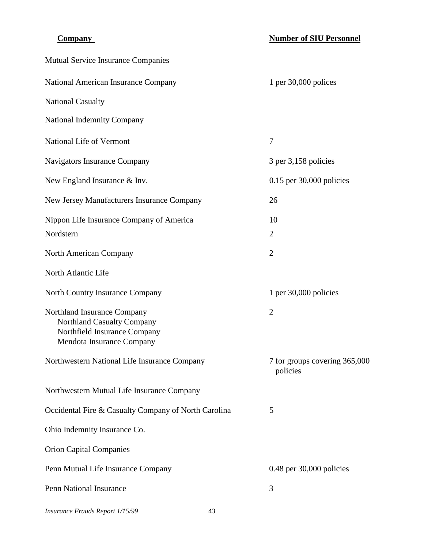| <b>Mutual Service Insurance Companies</b>                                                                                     |                                           |
|-------------------------------------------------------------------------------------------------------------------------------|-------------------------------------------|
| National American Insurance Company                                                                                           | 1 per $30,000$ polices                    |
| <b>National Casualty</b>                                                                                                      |                                           |
| <b>National Indemnity Company</b>                                                                                             |                                           |
| National Life of Vermont                                                                                                      | 7                                         |
| Navigators Insurance Company                                                                                                  | 3 per 3,158 policies                      |
| New England Insurance & Inv.                                                                                                  | $0.15$ per 30,000 policies                |
| New Jersey Manufacturers Insurance Company                                                                                    | 26                                        |
| Nippon Life Insurance Company of America<br>Nordstern                                                                         | 10<br>$\overline{2}$                      |
| North American Company                                                                                                        | $\overline{2}$                            |
| North Atlantic Life                                                                                                           |                                           |
| North Country Insurance Company                                                                                               | 1 per $30,000$ policies                   |
| Northland Insurance Company<br><b>Northland Casualty Company</b><br>Northfield Insurance Company<br>Mendota Insurance Company | $\overline{2}$                            |
| Northwestern National Life Insurance Company                                                                                  | 7 for groups covering 365,000<br>policies |
| Northwestern Mutual Life Insurance Company                                                                                    |                                           |
| Occidental Fire & Casualty Company of North Carolina                                                                          | 5                                         |
| Ohio Indemnity Insurance Co.                                                                                                  |                                           |
| <b>Orion Capital Companies</b>                                                                                                |                                           |
| Penn Mutual Life Insurance Company                                                                                            | $0.48$ per $30,000$ policies              |
| <b>Penn National Insurance</b>                                                                                                | 3                                         |
| Insurance Frauds Report 1/15/99<br>43                                                                                         |                                           |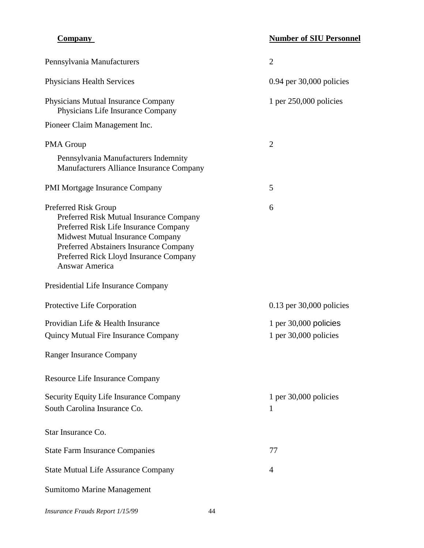| Pennsylvania Manufacturers                                                                                                                                                                                                                                | $\overline{2}$               |
|-----------------------------------------------------------------------------------------------------------------------------------------------------------------------------------------------------------------------------------------------------------|------------------------------|
| <b>Physicians Health Services</b>                                                                                                                                                                                                                         | $0.94$ per $30,000$ policies |
| Physicians Mutual Insurance Company<br>Physicians Life Insurance Company                                                                                                                                                                                  | 1 per $250,000$ policies     |
| Pioneer Claim Management Inc.                                                                                                                                                                                                                             |                              |
| PMA Group                                                                                                                                                                                                                                                 | $\overline{2}$               |
| Pennsylvania Manufacturers Indemnity<br>Manufacturers Alliance Insurance Company                                                                                                                                                                          |                              |
| <b>PMI Mortgage Insurance Company</b>                                                                                                                                                                                                                     | 5                            |
| Preferred Risk Group<br>Preferred Risk Mutual Insurance Company<br>Preferred Risk Life Insurance Company<br>Midwest Mutual Insurance Company<br>Preferred Abstainers Insurance Company<br>Preferred Rick Lloyd Insurance Company<br><b>Answar America</b> | 6                            |
| Presidential Life Insurance Company                                                                                                                                                                                                                       |                              |
|                                                                                                                                                                                                                                                           |                              |
| Protective Life Corporation                                                                                                                                                                                                                               | 0.13 per 30,000 policies     |
| Providian Life & Health Insurance                                                                                                                                                                                                                         | 1 per $30,000$ policies      |
| <b>Quincy Mutual Fire Insurance Company</b>                                                                                                                                                                                                               | 1 per $30,000$ policies      |
| <b>Ranger Insurance Company</b>                                                                                                                                                                                                                           |                              |
| Resource Life Insurance Company                                                                                                                                                                                                                           |                              |
| Security Equity Life Insurance Company<br>South Carolina Insurance Co.                                                                                                                                                                                    | 1 per $30,000$ policies<br>1 |
| Star Insurance Co.                                                                                                                                                                                                                                        |                              |
| <b>State Farm Insurance Companies</b>                                                                                                                                                                                                                     | 77                           |
| <b>State Mutual Life Assurance Company</b>                                                                                                                                                                                                                | 4                            |

*Insurance Frauds Report 1/15/99* 44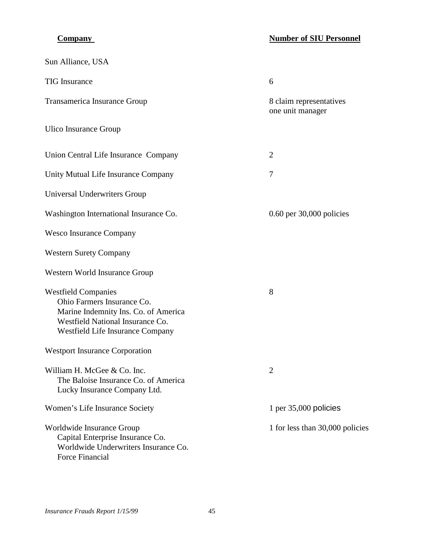| Sun Alliance, USA                                                                                                                                                        |                                             |
|--------------------------------------------------------------------------------------------------------------------------------------------------------------------------|---------------------------------------------|
| <b>TIG</b> Insurance                                                                                                                                                     | 6                                           |
| Transamerica Insurance Group                                                                                                                                             | 8 claim representatives<br>one unit manager |
| Ulico Insurance Group                                                                                                                                                    |                                             |
| Union Central Life Insurance Company                                                                                                                                     | $\overline{2}$                              |
| Unity Mutual Life Insurance Company                                                                                                                                      | 7                                           |
| Universal Underwriters Group                                                                                                                                             |                                             |
| Washington International Insurance Co.                                                                                                                                   | $0.60$ per 30,000 policies                  |
| <b>Wesco Insurance Company</b>                                                                                                                                           |                                             |
| <b>Western Surety Company</b>                                                                                                                                            |                                             |
| Western World Insurance Group                                                                                                                                            |                                             |
| <b>Westfield Companies</b><br>Ohio Farmers Insurance Co.<br>Marine Indemnity Ins. Co. of America<br>Westfield National Insurance Co.<br>Westfield Life Insurance Company | 8                                           |
| <b>Westport Insurance Corporation</b>                                                                                                                                    |                                             |
| William H. McGee & Co. Inc.<br>The Baloise Insurance Co. of America<br>Lucky Insurance Company Ltd.                                                                      | 2                                           |
| Women's Life Insurance Society                                                                                                                                           | 1 per $35,000$ policies                     |
| Worldwide Insurance Group<br>Capital Enterprise Insurance Co.<br>Worldwide Underwriters Insurance Co.<br><b>Force Financial</b>                                          | 1 for less than 30,000 policies             |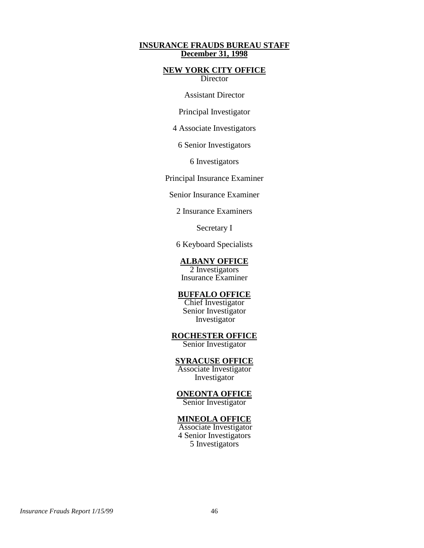### **INSURANCE FRAUDS BUREAU STAFF December 31, 1998**

### **NEW YORK CITY OFFICE**  Director

Assistant Director

Principal Investigator

4 Associate Investigators

6 Senior Investigators

6 Investigators

Principal Insurance Examiner

Senior Insurance Examiner

2 Insurance Examiners

Secretary I

6 Keyboard Specialists

**ALBANY OFFICE** 

2 Investigators Insurance Examiner

### **BUFFALO OFFICE**

Chief Investigator Senior Investigator Investigator

**ROCHESTER OFFICE** 

Senior Investigator

### **SYRACUSE OFFICE**

Associate Investigator Investigator

**ONEONTA OFFICE** 

Senior Investigator

# **MINEOLA OFFICE**

 Associate Investigator 4 Senior Investigators 5 Investigators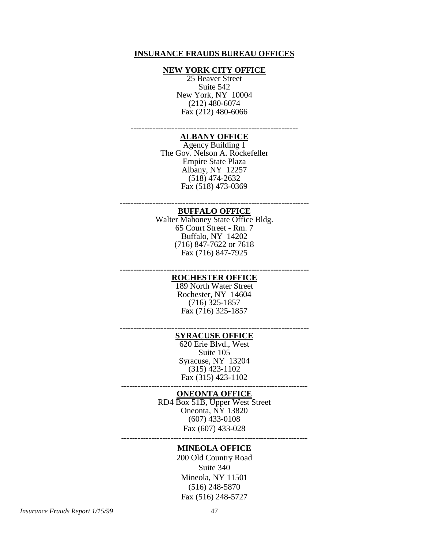### **INSURANCE FRAUDS BUREAU OFFICES**

### **NEW YORK CITY OFFICE**

25 Beaver Street Suite 542 New York, NY 10004 (212) 480-6074 Fax (212) 480-6066

## -------------------------------------------------------------

**ALBANY OFFICE** 

Agency Building 1 The Gov. Nelson A. Rockefeller Empire State Plaza Albany, NY 12257 (518) 474-2632 Fax (518) 473-0369

### --------------------------------------------------------------------- **BUFFALO OFFICE**

Walter Mahoney State Office Bldg. 65 Court Street - Rm. 7 Buffalo, NY 14202 (716) 847-7622 or 7618 Fax (716) 847-7925

---------------------------------------------------------------------

### **ROCHESTER OFFICE**  189 North Water Street

Rochester, NY 14604 (716) 325-1857 Fax (716) 325-1857

### --------------------------------------------------------------------- **SYRACUSE OFFICE**

620 Erie Blvd., West Suite 105 Syracuse, NY 13204 (315) 423-1102 Fax (315) 423-1102

### **ONEONTA OFFICE**

--------------------------------------------------------------------

RD4 Box 51B, Upper West Street Oneonta, NY 13820 (607) 433-0108 Fax (607) 433-028

### -------------------------------------------------------------------- **MINEOLA OFFICE**

200 Old Country Road Suite 340 Mineola, NY 11501 (516) 248-5870 Fax (516) 248-5727

*Insurance Frauds Report 1/15/99* 47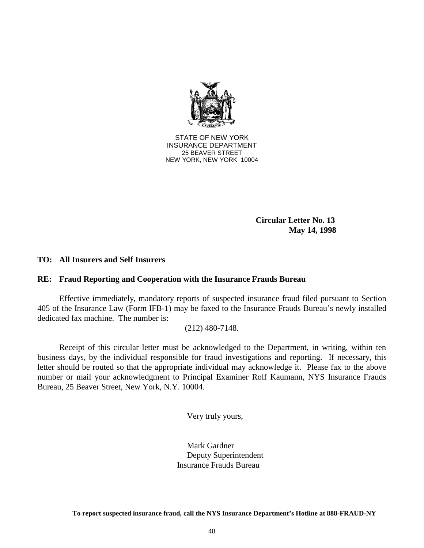

> **Circular Letter No. 13 May 14, 1998**

### **TO: All Insurers and Self Insurers**

### **RE: Fraud Reporting and Cooperation with the Insurance Frauds Bureau**

Effective immediately, mandatory reports of suspected insurance fraud filed pursuant to Section 405 of the Insurance Law (Form IFB-1) may be faxed to the Insurance Frauds Bureau's newly installed dedicated fax machine. The number is:

(212) 480-7148.

Receipt of this circular letter must be acknowledged to the Department, in writing, within ten business days, by the individual responsible for fraud investigations and reporting. If necessary, this letter should be routed so that the appropriate individual may acknowledge it. Please fax to the above number or mail your acknowledgment to Principal Examiner Rolf Kaumann, NYS Insurance Frauds Bureau, 25 Beaver Street, New York, N.Y. 10004.

Very truly yours,

Mark Gardner Deputy Superintendent Insurance Frauds Bureau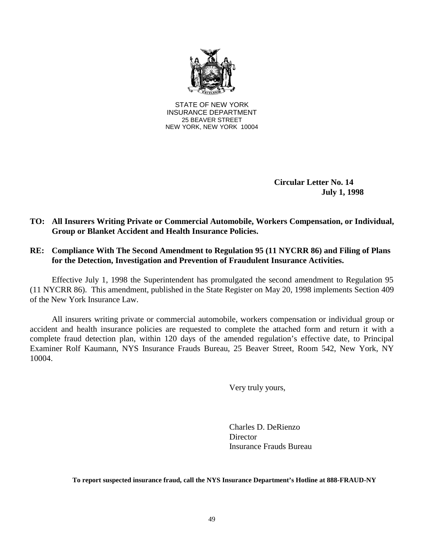

> **Circular Letter No. 14 July 1, 1998**

### **TO: All Insurers Writing Private or Commercial Automobile, Workers Compensation, or Individual, Group or Blanket Accident and Health Insurance Policies.**

### **RE: Compliance With The Second Amendment to Regulation 95 (11 NYCRR 86) and Filing of Plans for the Detection, Investigation and Prevention of Fraudulent Insurance Activities.**

 (11 NYCRR 86). This amendment, published in the State Register on May 20, 1998 implements Section 409 Effective July 1, 1998 the Superintendent has promulgated the second amendment to Regulation 95 of the New York Insurance Law.

 accident and health insurance policies are requested to complete the attached form and return it with a All insurers writing private or commercial automobile, workers compensation or individual group or complete fraud detection plan, within 120 days of the amended regulation's effective date, to Principal Examiner Rolf Kaumann, NYS Insurance Frauds Bureau, 25 Beaver Street, Room 542, New York, NY 10004.

Very truly yours,

Charles D. DeRienzo **Director** Insurance Frauds Bureau

**To report suspected insurance fraud, call the NYS Insurance Department's Hotline at 888-FRAUD-NY**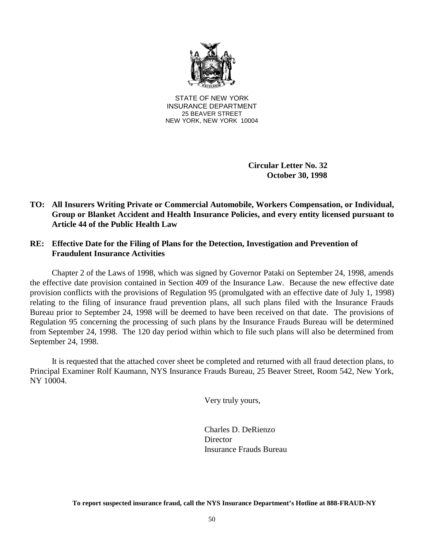

> **Circular Letter No. 32 October 30, 1998**

## **TO: All Insurers Writing Private or Commercial Automobile, Workers Compensation, or Individual, Group or Blanket Accident and Health Insurance Policies, and every entity licensed pursuant to Article 44 of the Public Health Law**

### **RE: Effective Date for the Filing of Plans for the Detection, Investigation and Prevention of Fraudulent Insurance Activities**

 Regulation 95 concerning the processing of such plans by the Insurance Frauds Bureau will be determined Chapter 2 of the Laws of 1998, which was signed by Governor Pataki on September 24, 1998, amends the effective date provision contained in Section 409 of the Insurance Law. Because the new effective date provision conflicts with the provisions of Regulation 95 (promulgated with an effective date of July 1, 1998) relating to the filing of insurance fraud prevention plans, all such plans filed with the Insurance Frauds Bureau prior to September 24, 1998 will be deemed to have been received on that date. The provisions of from September 24, 1998. The 120 day period within which to file such plans will also be determined from September 24, 1998.

It is requested that the attached cover sheet be completed and returned with all fraud detection plans, to Principal Examiner Rolf Kaumann, NYS Insurance Frauds Bureau, 25 Beaver Street, Room 542, New York, NY 10004.

Very truly yours,

Charles D. DeRienzo **Director** Insurance Frauds Bureau